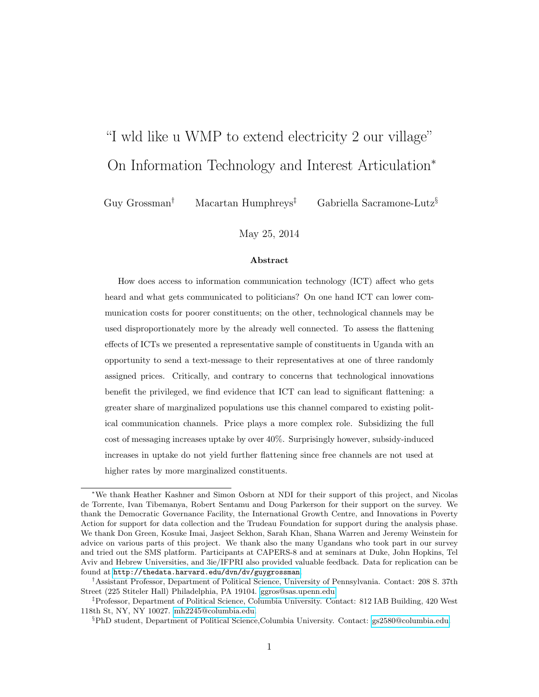## "I wld like u WMP to extend electricity 2 our village" On Information Technology and Interest Articulation<sup>∗</sup>

Guy Grossman† Macartan Humphreys‡ Gabriella Sacramone-Lutz§

May 25, 2014

#### Abstract

How does access to information communication technology (ICT) affect who gets heard and what gets communicated to politicians? On one hand ICT can lower communication costs for poorer constituents; on the other, technological channels may be used disproportionately more by the already well connected. To assess the flattening effects of ICTs we presented a representative sample of constituents in Uganda with an opportunity to send a text-message to their representatives at one of three randomly assigned prices. Critically, and contrary to concerns that technological innovations benefit the privileged, we find evidence that ICT can lead to significant flattening: a greater share of marginalized populations use this channel compared to existing political communication channels. Price plays a more complex role. Subsidizing the full cost of messaging increases uptake by over 40%. Surprisingly however, subsidy-induced increases in uptake do not yield further flattening since free channels are not used at higher rates by more marginalized constituents.

<sup>∗</sup>We thank Heather Kashner and Simon Osborn at NDI for their support of this project, and Nicolas de Torrente, Ivan Tibemanya, Robert Sentamu and Doug Parkerson for their support on the survey. We thank the Democratic Governance Facility, the International Growth Centre, and Innovations in Poverty Action for support for data collection and the Trudeau Foundation for support during the analysis phase. We thank Don Green, Kosuke Imai, Jasjeet Sekhon, Sarah Khan, Shana Warren and Jeremy Weinstein for advice on various parts of this project. We thank also the many Ugandans who took part in our survey and tried out the SMS platform. Participants at CAPERS-8 and at seminars at Duke, John Hopkins, Tel Aviv and Hebrew Universities, and 3ie/IFPRI also provided valuable feedback. Data for replication can be found at <http://thedata.harvard.edu/dvn/dv/guygrossman>.

<sup>†</sup>Assistant Professor, Department of Political Science, University of Pennsylvania. Contact: 208 S. 37th Street (225 Stiteler Hall) Philadelphia, PA 19104. [ggros@sas.upenn.edu.](mailto:ggros@sas.upenn.edu)

<sup>‡</sup>Professor, Department of Political Science, Columbia University. Contact: 812 IAB Building, 420 West 118th St, NY, NY 10027. [mh2245@columbia.edu.](mailto:mh2245@columbia.edu)

<sup>§</sup>PhD student, Department of Political Science,Columbia University. Contact: [gs2580@columbia.edu.](mailto:gs2580@columbia.edu)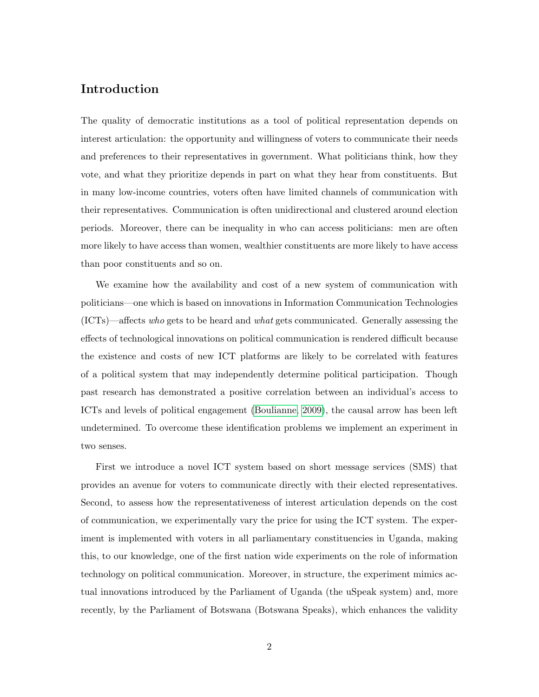## Introduction

The quality of democratic institutions as a tool of political representation depends on interest articulation: the opportunity and willingness of voters to communicate their needs and preferences to their representatives in government. What politicians think, how they vote, and what they prioritize depends in part on what they hear from constituents. But in many low-income countries, voters often have limited channels of communication with their representatives. Communication is often unidirectional and clustered around election periods. Moreover, there can be inequality in who can access politicians: men are often more likely to have access than women, wealthier constituents are more likely to have access than poor constituents and so on.

We examine how the availability and cost of a new system of communication with politicians—one which is based on innovations in Information Communication Technologies (ICTs)—affects who gets to be heard and what gets communicated. Generally assessing the effects of technological innovations on political communication is rendered difficult because the existence and costs of new ICT platforms are likely to be correlated with features of a political system that may independently determine political participation. Though past research has demonstrated a positive correlation between an individual's access to ICTs and levels of political engagement [\(Boulianne, 2009\)](#page-38-0), the causal arrow has been left undetermined. To overcome these identification problems we implement an experiment in two senses.

First we introduce a novel ICT system based on short message services (SMS) that provides an avenue for voters to communicate directly with their elected representatives. Second, to assess how the representativeness of interest articulation depends on the cost of communication, we experimentally vary the price for using the ICT system. The experiment is implemented with voters in all parliamentary constituencies in Uganda, making this, to our knowledge, one of the first nation wide experiments on the role of information technology on political communication. Moreover, in structure, the experiment mimics actual innovations introduced by the Parliament of Uganda (the uSpeak system) and, more recently, by the Parliament of Botswana (Botswana Speaks), which enhances the validity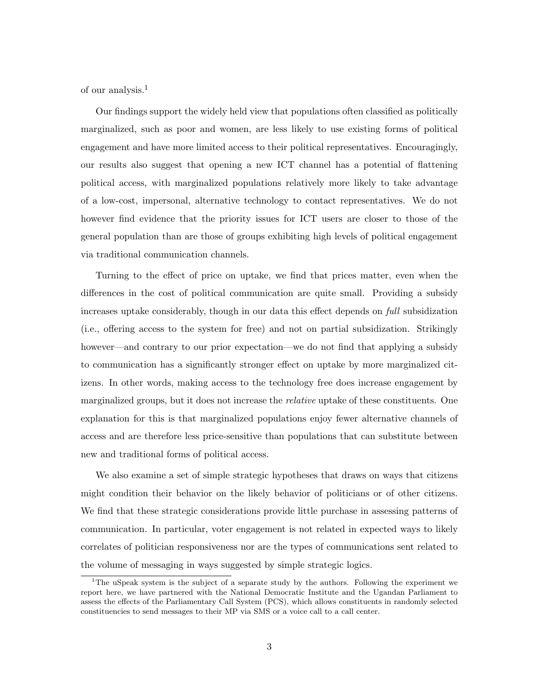of our analysis.<sup>1</sup>

Our findings support the widely held view that populations often classified as politically marginalized, such as poor and women, are less likely to use existing forms of political engagement and have more limited access to their political representatives. Encouragingly, our results also suggest that opening a new ICT channel has a potential of flattening political access, with marginalized populations relatively more likely to take advantage of a low-cost, impersonal, alternative technology to contact representatives. We do not however find evidence that the priority issues for ICT users are closer to those of the general population than are those of groups exhibiting high levels of political engagement via traditional communication channels.

Turning to the effect of price on uptake, we find that prices matter, even when the differences in the cost of political communication are quite small. Providing a subsidy increases uptake considerably, though in our data this effect depends on full subsidization (i.e., offering access to the system for free) and not on partial subsidization. Strikingly however—and contrary to our prior expectation—we do not find that applying a subsidy to communication has a significantly stronger effect on uptake by more marginalized citizens. In other words, making access to the technology free does increase engagement by marginalized groups, but it does not increase the *relative* uptake of these constituents. One explanation for this is that marginalized populations enjoy fewer alternative channels of access and are therefore less price-sensitive than populations that can substitute between new and traditional forms of political access.

We also examine a set of simple strategic hypotheses that draws on ways that citizens might condition their behavior on the likely behavior of politicians or of other citizens. We find that these strategic considerations provide little purchase in assessing patterns of communication. In particular, voter engagement is not related in expected ways to likely correlates of politician responsiveness nor are the types of communications sent related to the volume of messaging in ways suggested by simple strategic logics.

<sup>&</sup>lt;sup>1</sup>The uSpeak system is the subject of a separate study by the authors. Following the experiment we report here, we have partnered with the National Democratic Institute and the Ugandan Parliament to assess the effects of the Parliamentary Call System (PCS), which allows constituents in randomly selected constituencies to send messages to their MP via SMS or a voice call to a call center.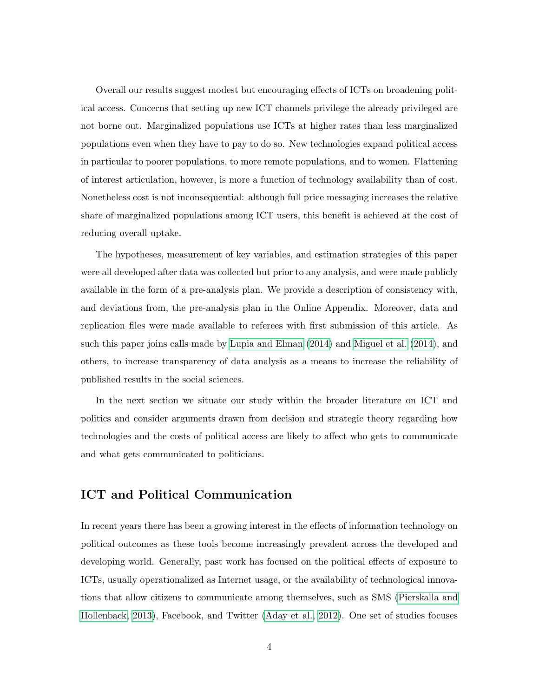Overall our results suggest modest but encouraging effects of ICTs on broadening political access. Concerns that setting up new ICT channels privilege the already privileged are not borne out. Marginalized populations use ICTs at higher rates than less marginalized populations even when they have to pay to do so. New technologies expand political access in particular to poorer populations, to more remote populations, and to women. Flattening of interest articulation, however, is more a function of technology availability than of cost. Nonetheless cost is not inconsequential: although full price messaging increases the relative share of marginalized populations among ICT users, this benefit is achieved at the cost of reducing overall uptake.

The hypotheses, measurement of key variables, and estimation strategies of this paper were all developed after data was collected but prior to any analysis, and were made publicly available in the form of a pre-analysis plan. We provide a description of consistency with, and deviations from, the pre-analysis plan in the Online Appendix. Moreover, data and replication files were made available to referees with first submission of this article. As such this paper joins calls made by [Lupia and Elman](#page-39-0) [\(2014\)](#page-39-0) and [Miguel et al.](#page-40-0) [\(2014\)](#page-40-0), and others, to increase transparency of data analysis as a means to increase the reliability of published results in the social sciences.

In the next section we situate our study within the broader literature on ICT and politics and consider arguments drawn from decision and strategic theory regarding how technologies and the costs of political access are likely to affect who gets to communicate and what gets communicated to politicians.

## ICT and Political Communication

In recent years there has been a growing interest in the effects of information technology on political outcomes as these tools become increasingly prevalent across the developed and developing world. Generally, past work has focused on the political effects of exposure to ICTs, usually operationalized as Internet usage, or the availability of technological innovations that allow citizens to communicate among themselves, such as SMS [\(Pierskalla and](#page-40-1) [Hollenback, 2013\)](#page-40-1), Facebook, and Twitter [\(Aday et al., 2012\)](#page-38-1). One set of studies focuses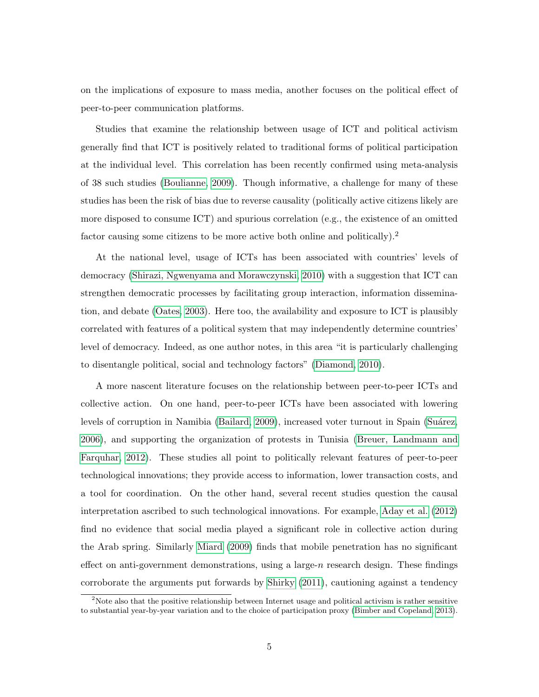on the implications of exposure to mass media, another focuses on the political effect of peer-to-peer communication platforms.

Studies that examine the relationship between usage of ICT and political activism generally find that ICT is positively related to traditional forms of political participation at the individual level. This correlation has been recently confirmed using meta-analysis of 38 such studies [\(Boulianne, 2009\)](#page-38-0). Though informative, a challenge for many of these studies has been the risk of bias due to reverse causality (politically active citizens likely are more disposed to consume ICT) and spurious correlation (e.g., the existence of an omitted factor causing some citizens to be more active both online and politically).<sup>2</sup>

At the national level, usage of ICTs has been associated with countries' levels of democracy [\(Shirazi, Ngwenyama and Morawczynski, 2010\)](#page-40-2) with a suggestion that ICT can strengthen democratic processes by facilitating group interaction, information dissemination, and debate [\(Oates, 2003\)](#page-40-3). Here too, the availability and exposure to ICT is plausibly correlated with features of a political system that may independently determine countries' level of democracy. Indeed, as one author notes, in this area "it is particularly challenging to disentangle political, social and technology factors" [\(Diamond, 2010\)](#page-39-1).

A more nascent literature focuses on the relationship between peer-to-peer ICTs and collective action. On one hand, peer-to-peer ICTs have been associated with lowering levels of corruption in Namibia [\(Bailard, 2009\)](#page-38-2), increased voter turnout in Spain (Suárez, [2006\)](#page-40-4), and supporting the organization of protests in Tunisia [\(Breuer, Landmann and](#page-38-3) [Farquhar, 2012\)](#page-38-3). These studies all point to politically relevant features of peer-to-peer technological innovations; they provide access to information, lower transaction costs, and a tool for coordination. On the other hand, several recent studies question the causal interpretation ascribed to such technological innovations. For example, [Aday et al.](#page-38-1) [\(2012\)](#page-38-1) find no evidence that social media played a significant role in collective action during the Arab spring. Similarly [Miard](#page-40-5) [\(2009\)](#page-40-5) finds that mobile penetration has no significant effect on anti-government demonstrations, using a large- $n$  research design. These findings corroborate the arguments put forwards by [Shirky](#page-40-6) [\(2011\)](#page-40-6), cautioning against a tendency

 $2$ Note also that the positive relationship between Internet usage and political activism is rather sensitive to substantial year-by-year variation and to the choice of participation proxy [\(Bimber and Copeland, 2013\)](#page-38-4).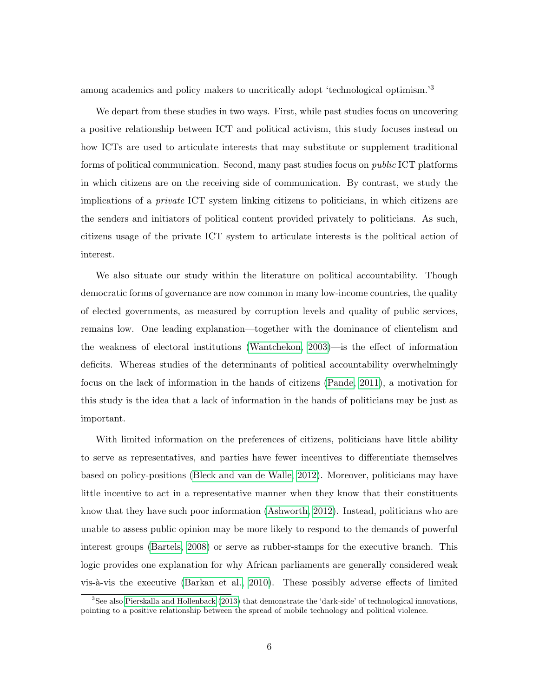among academics and policy makers to uncritically adopt 'technological optimism.'<sup>3</sup>

We depart from these studies in two ways. First, while past studies focus on uncovering a positive relationship between ICT and political activism, this study focuses instead on how ICTs are used to articulate interests that may substitute or supplement traditional forms of political communication. Second, many past studies focus on public ICT platforms in which citizens are on the receiving side of communication. By contrast, we study the implications of a private ICT system linking citizens to politicians, in which citizens are the senders and initiators of political content provided privately to politicians. As such, citizens usage of the private ICT system to articulate interests is the political action of interest.

We also situate our study within the literature on political accountability. Though democratic forms of governance are now common in many low-income countries, the quality of elected governments, as measured by corruption levels and quality of public services, remains low. One leading explanation—together with the dominance of clientelism and the weakness of electoral institutions [\(Wantchekon, 2003\)](#page-40-7)—is the effect of information deficits. Whereas studies of the determinants of political accountability overwhelmingly focus on the lack of information in the hands of citizens [\(Pande, 2011\)](#page-40-8), a motivation for this study is the idea that a lack of information in the hands of politicians may be just as important.

With limited information on the preferences of citizens, politicians have little ability to serve as representatives, and parties have fewer incentives to differentiate themselves based on policy-positions [\(Bleck and van de Walle, 2012\)](#page-38-5). Moreover, politicians may have little incentive to act in a representative manner when they know that their constituents know that they have such poor information [\(Ashworth, 2012\)](#page-38-6). Instead, politicians who are unable to assess public opinion may be more likely to respond to the demands of powerful interest groups [\(Bartels, 2008\)](#page-38-7) or serve as rubber-stamps for the executive branch. This logic provides one explanation for why African parliaments are generally considered weak vis- $\grave{a}$ -vis the executive [\(Barkan et al., 2010\)](#page-38-8). These possibly adverse effects of limited

<sup>&</sup>lt;sup>3</sup>See also [Pierskalla and Hollenback](#page-40-1) [\(2013\)](#page-40-1) that demonstrate the 'dark-side' of technological innovations, pointing to a positive relationship between the spread of mobile technology and political violence.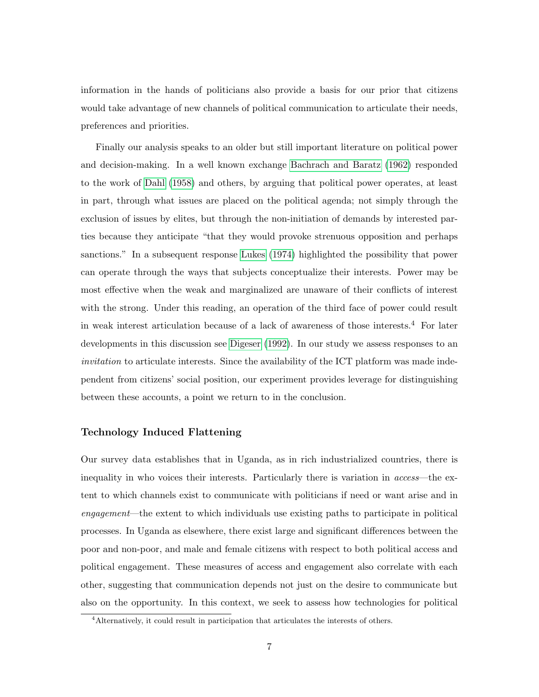information in the hands of politicians also provide a basis for our prior that citizens would take advantage of new channels of political communication to articulate their needs, preferences and priorities.

Finally our analysis speaks to an older but still important literature on political power and decision-making. In a well known exchange [Bachrach and Baratz](#page-38-9) [\(1962\)](#page-38-9) responded to the work of [Dahl](#page-39-2) [\(1958\)](#page-39-2) and others, by arguing that political power operates, at least in part, through what issues are placed on the political agenda; not simply through the exclusion of issues by elites, but through the non-initiation of demands by interested parties because they anticipate "that they would provoke strenuous opposition and perhaps sanctions." In a subsequent response [Lukes](#page-39-3) [\(1974\)](#page-39-3) highlighted the possibility that power can operate through the ways that subjects conceptualize their interests. Power may be most effective when the weak and marginalized are unaware of their conflicts of interest with the strong. Under this reading, an operation of the third face of power could result in weak interest articulation because of a lack of awareness of those interests.<sup>4</sup> For later developments in this discussion see [Digeser](#page-39-4) [\(1992\)](#page-39-4). In our study we assess responses to an invitation to articulate interests. Since the availability of the ICT platform was made independent from citizens' social position, our experiment provides leverage for distinguishing between these accounts, a point we return to in the conclusion.

#### Technology Induced Flattening

Our survey data establishes that in Uganda, as in rich industrialized countries, there is inequality in who voices their interests. Particularly there is variation in access—the extent to which channels exist to communicate with politicians if need or want arise and in engagement—the extent to which individuals use existing paths to participate in political processes. In Uganda as elsewhere, there exist large and significant differences between the poor and non-poor, and male and female citizens with respect to both political access and political engagement. These measures of access and engagement also correlate with each other, suggesting that communication depends not just on the desire to communicate but also on the opportunity. In this context, we seek to assess how technologies for political

<sup>4</sup>Alternatively, it could result in participation that articulates the interests of others.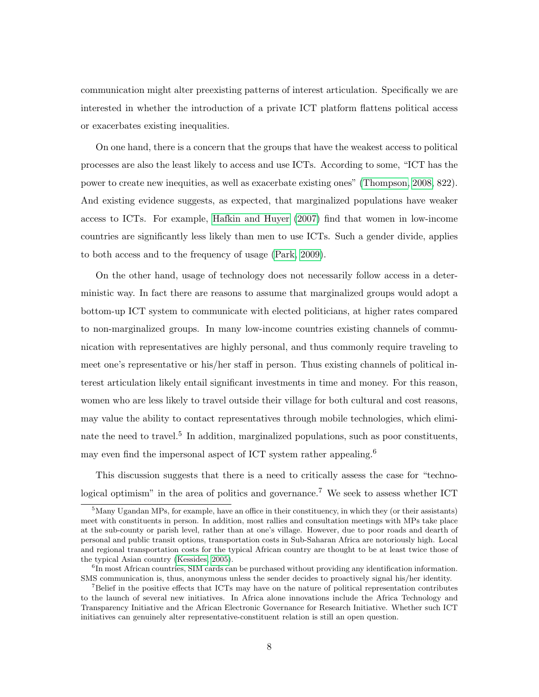communication might alter preexisting patterns of interest articulation. Specifically we are interested in whether the introduction of a private ICT platform flattens political access or exacerbates existing inequalities.

On one hand, there is a concern that the groups that have the weakest access to political processes are also the least likely to access and use ICTs. According to some, "ICT has the power to create new inequities, as well as exacerbate existing ones" [\(Thompson, 2008,](#page-40-9) 822). And existing evidence suggests, as expected, that marginalized populations have weaker access to ICTs. For example, [Hafkin and Huyer](#page-39-5) [\(2007\)](#page-39-5) find that women in low-income countries are significantly less likely than men to use ICTs. Such a gender divide, applies to both access and to the frequency of usage [\(Park, 2009\)](#page-40-10).

On the other hand, usage of technology does not necessarily follow access in a deterministic way. In fact there are reasons to assume that marginalized groups would adopt a bottom-up ICT system to communicate with elected politicians, at higher rates compared to non-marginalized groups. In many low-income countries existing channels of communication with representatives are highly personal, and thus commonly require traveling to meet one's representative or his/her staff in person. Thus existing channels of political interest articulation likely entail significant investments in time and money. For this reason, women who are less likely to travel outside their village for both cultural and cost reasons, may value the ability to contact representatives through mobile technologies, which eliminate the need to travel.<sup>5</sup> In addition, marginalized populations, such as poor constituents, may even find the impersonal aspect of ICT system rather appealing.<sup>6</sup>

This discussion suggests that there is a need to critically assess the case for "technological optimism" in the area of politics and governance.<sup>7</sup> We seek to assess whether ICT

<sup>&</sup>lt;sup>5</sup>Many Ugandan MPs, for example, have an office in their constituency, in which they (or their assistants) meet with constituents in person. In addition, most rallies and consultation meetings with MPs take place at the sub-county or parish level, rather than at one's village. However, due to poor roads and dearth of personal and public transit options, transportation costs in Sub-Saharan Africa are notoriously high. Local and regional transportation costs for the typical African country are thought to be at least twice those of the typical Asian country [\(Kessides, 2005\)](#page-39-6).

<sup>&</sup>lt;sup>6</sup>In most African countries, SIM cards can be purchased without providing any identification information. SMS communication is, thus, anonymous unless the sender decides to proactively signal his/her identity.

<sup>&</sup>lt;sup>7</sup>Belief in the positive effects that ICTs may have on the nature of political representation contributes to the launch of several new initiatives. In Africa alone innovations include the Africa Technology and Transparency Initiative and the African Electronic Governance for Research Initiative. Whether such ICT initiatives can genuinely alter representative-constituent relation is still an open question.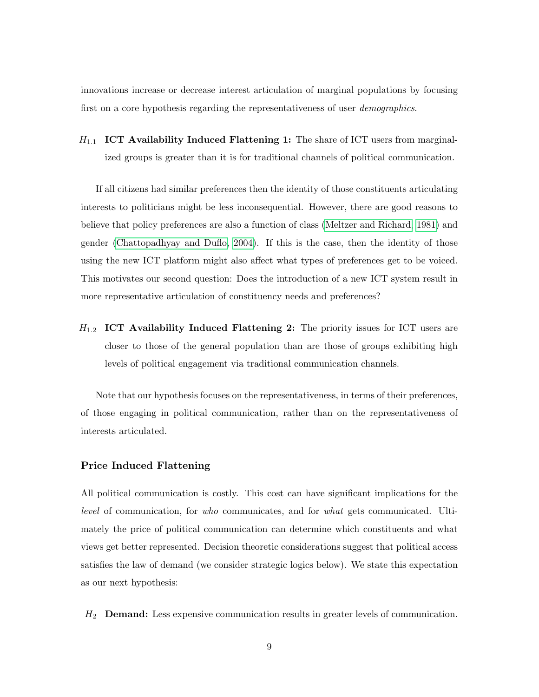innovations increase or decrease interest articulation of marginal populations by focusing first on a core hypothesis regarding the representativeness of user *demographics*.

 $H_{1,1}$  **ICT Availability Induced Flattening 1:** The share of ICT users from marginalized groups is greater than it is for traditional channels of political communication.

If all citizens had similar preferences then the identity of those constituents articulating interests to politicians might be less inconsequential. However, there are good reasons to believe that policy preferences are also a function of class [\(Meltzer and Richard, 1981\)](#page-40-11) and gender [\(Chattopadhyay and Duflo, 2004\)](#page-38-10). If this is the case, then the identity of those using the new ICT platform might also affect what types of preferences get to be voiced. This motivates our second question: Does the introduction of a new ICT system result in more representative articulation of constituency needs and preferences?

 $H_{1,2}$  **ICT Availability Induced Flattening 2:** The priority issues for ICT users are closer to those of the general population than are those of groups exhibiting high levels of political engagement via traditional communication channels.

Note that our hypothesis focuses on the representativeness, in terms of their preferences, of those engaging in political communication, rather than on the representativeness of interests articulated.

#### Price Induced Flattening

All political communication is costly. This cost can have significant implications for the level of communication, for who communicates, and for what gets communicated. Ultimately the price of political communication can determine which constituents and what views get better represented. Decision theoretic considerations suggest that political access satisfies the law of demand (we consider strategic logics below). We state this expectation as our next hypothesis:

 $H_2$  **Demand:** Less expensive communication results in greater levels of communication.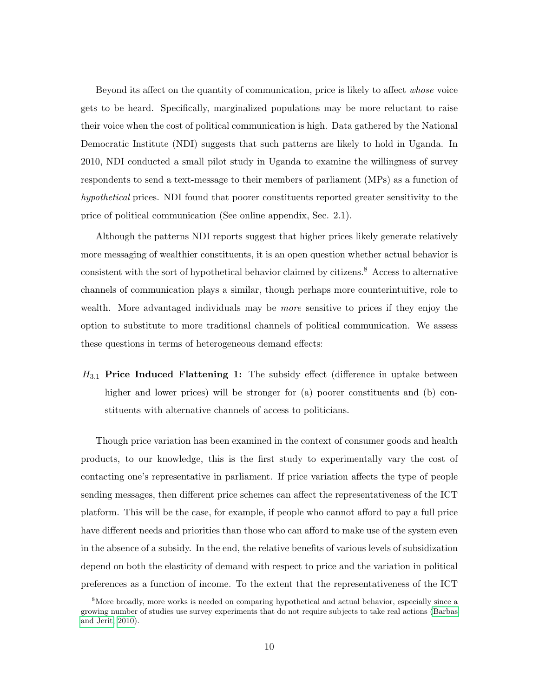Beyond its affect on the quantity of communication, price is likely to affect whose voice gets to be heard. Specifically, marginalized populations may be more reluctant to raise their voice when the cost of political communication is high. Data gathered by the National Democratic Institute (NDI) suggests that such patterns are likely to hold in Uganda. In 2010, NDI conducted a small pilot study in Uganda to examine the willingness of survey respondents to send a text-message to their members of parliament (MPs) as a function of hypothetical prices. NDI found that poorer constituents reported greater sensitivity to the price of political communication (See online appendix, Sec. 2.1).

Although the patterns NDI reports suggest that higher prices likely generate relatively more messaging of wealthier constituents, it is an open question whether actual behavior is consistent with the sort of hypothetical behavior claimed by citizens.<sup>8</sup> Access to alternative channels of communication plays a similar, though perhaps more counterintuitive, role to wealth. More advantaged individuals may be *more* sensitive to prices if they enjoy the option to substitute to more traditional channels of political communication. We assess these questions in terms of heterogeneous demand effects:

 $H_{3,1}$  Price Induced Flattening 1: The subsidy effect (difference in uptake between higher and lower prices) will be stronger for (a) poorer constituents and (b) constituents with alternative channels of access to politicians.

Though price variation has been examined in the context of consumer goods and health products, to our knowledge, this is the first study to experimentally vary the cost of contacting one's representative in parliament. If price variation affects the type of people sending messages, then different price schemes can affect the representativeness of the ICT platform. This will be the case, for example, if people who cannot afford to pay a full price have different needs and priorities than those who can afford to make use of the system even in the absence of a subsidy. In the end, the relative benefits of various levels of subsidization depend on both the elasticity of demand with respect to price and the variation in political preferences as a function of income. To the extent that the representativeness of the ICT

<sup>&</sup>lt;sup>8</sup>More broadly, more works is needed on comparing hypothetical and actual behavior, especially since a growing number of studies use survey experiments that do not require subjects to take real actions [\(Barbas](#page-38-11) [and Jerit, 2010\)](#page-38-11).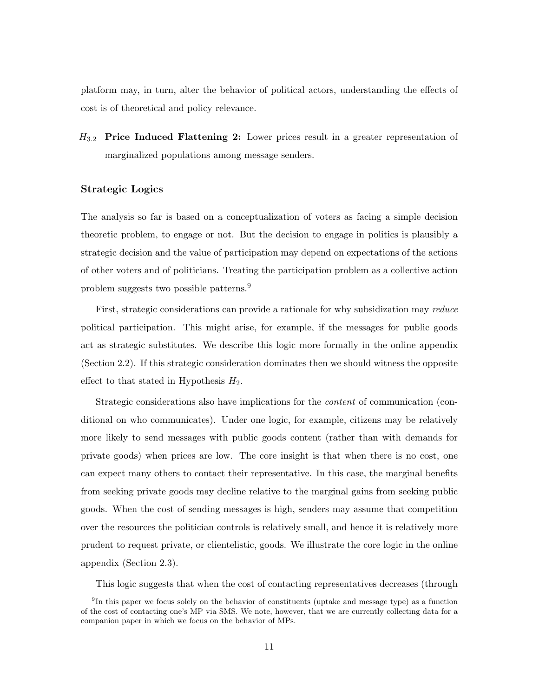platform may, in turn, alter the behavior of political actors, understanding the effects of cost is of theoretical and policy relevance.

 $H_{3,2}$  Price Induced Flattening 2: Lower prices result in a greater representation of marginalized populations among message senders.

#### Strategic Logics

The analysis so far is based on a conceptualization of voters as facing a simple decision theoretic problem, to engage or not. But the decision to engage in politics is plausibly a strategic decision and the value of participation may depend on expectations of the actions of other voters and of politicians. Treating the participation problem as a collective action problem suggests two possible patterns.<sup>9</sup>

First, strategic considerations can provide a rationale for why subsidization may reduce political participation. This might arise, for example, if the messages for public goods act as strategic substitutes. We describe this logic more formally in the online appendix (Section 2.2). If this strategic consideration dominates then we should witness the opposite effect to that stated in Hypothesis  $H_2$ .

Strategic considerations also have implications for the content of communication (conditional on who communicates). Under one logic, for example, citizens may be relatively more likely to send messages with public goods content (rather than with demands for private goods) when prices are low. The core insight is that when there is no cost, one can expect many others to contact their representative. In this case, the marginal benefits from seeking private goods may decline relative to the marginal gains from seeking public goods. When the cost of sending messages is high, senders may assume that competition over the resources the politician controls is relatively small, and hence it is relatively more prudent to request private, or clientelistic, goods. We illustrate the core logic in the online appendix (Section 2.3).

This logic suggests that when the cost of contacting representatives decreases (through

<sup>9</sup> In this paper we focus solely on the behavior of constituents (uptake and message type) as a function of the cost of contacting one's MP via SMS. We note, however, that we are currently collecting data for a companion paper in which we focus on the behavior of MPs.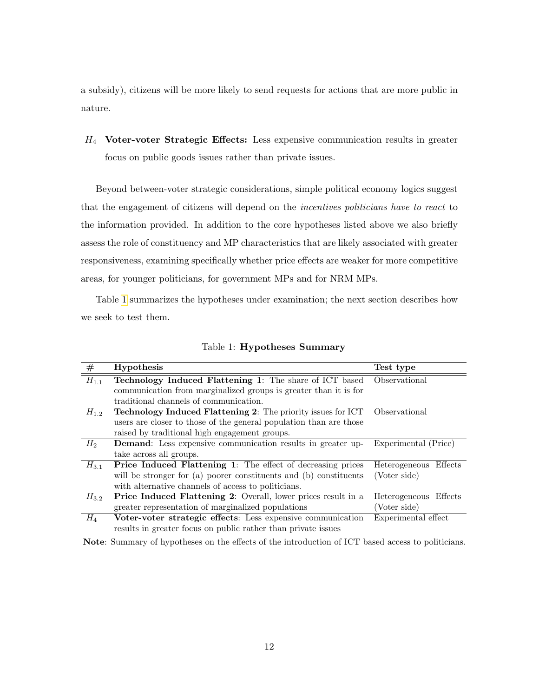a subsidy), citizens will be more likely to send requests for actions that are more public in nature.

 $H_4$  Voter-voter Strategic Effects: Less expensive communication results in greater focus on public goods issues rather than private issues.

Beyond between-voter strategic considerations, simple political economy logics suggest that the engagement of citizens will depend on the incentives politicians have to react to the information provided. In addition to the core hypotheses listed above we also briefly assess the role of constituency and MP characteristics that are likely associated with greater responsiveness, examining specifically whether price effects are weaker for more competitive areas, for younger politicians, for government MPs and for NRM MPs.

Table [1](#page-11-0) summarizes the hypotheses under examination; the next section describes how we seek to test them.

<span id="page-11-0"></span>

| #         | Hypothesis                                                           | Test type             |
|-----------|----------------------------------------------------------------------|-----------------------|
| $H_{1.1}$ | <b>Technology Induced Flattening 1:</b> The share of ICT based       | Observational         |
|           | communication from marginalized groups is greater than it is for     |                       |
|           | traditional channels of communication.                               |                       |
| $H_{1,2}$ | <b>Technology Induced Flattening 2:</b> The priority issues for ICT  | Observational         |
|           | users are closer to those of the general population than are those   |                       |
|           | raised by traditional high engagement groups.                        |                       |
| $H_2$     | <b>Demand:</b> Less expensive communication results in greater up-   | Experimental (Price)  |
|           | take across all groups.                                              |                       |
| $H_{3,1}$ | <b>Price Induced Flattening 1:</b> The effect of decreasing prices   | Heterogeneous Effects |
|           | will be stronger for (a) poorer constituents and (b) constituents    | (Voter side)          |
|           | with alternative channels of access to politicians.                  |                       |
| $H_{3.2}$ | <b>Price Induced Flattening 2:</b> Overall, lower prices result in a | Heterogeneous Effects |
|           | greater representation of marginalized populations                   | (Voter side)          |
| $H_4$     | Voter-voter strategic effects: Less expensive communication          | Experimental effect   |
|           | results in greater focus on public rather than private issues        |                       |

Table 1: Hypotheses Summary

Note: Summary of hypotheses on the effects of the introduction of ICT based access to politicians.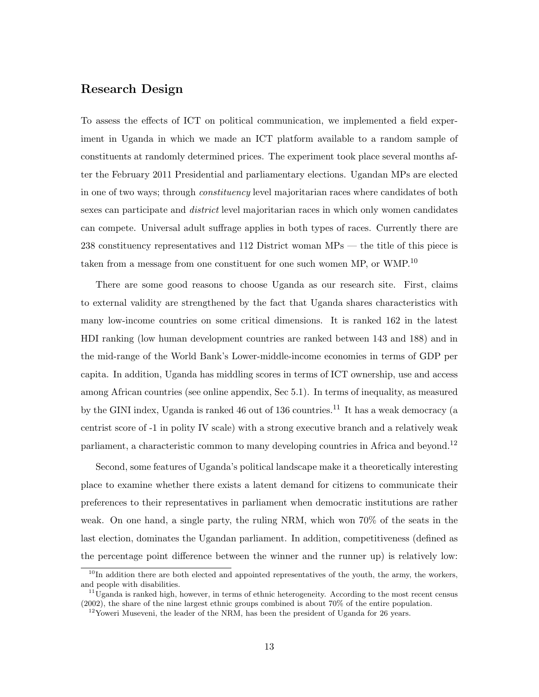### Research Design

To assess the effects of ICT on political communication, we implemented a field experiment in Uganda in which we made an ICT platform available to a random sample of constituents at randomly determined prices. The experiment took place several months after the February 2011 Presidential and parliamentary elections. Ugandan MPs are elected in one of two ways; through constituency level majoritarian races where candidates of both sexes can participate and *district* level majoritarian races in which only women candidates can compete. Universal adult suffrage applies in both types of races. Currently there are 238 constituency representatives and 112 District woman MPs — the title of this piece is taken from a message from one constituent for one such women MP, or WMP.<sup>10</sup>

There are some good reasons to choose Uganda as our research site. First, claims to external validity are strengthened by the fact that Uganda shares characteristics with many low-income countries on some critical dimensions. It is ranked 162 in the latest HDI ranking (low human development countries are ranked between 143 and 188) and in the mid-range of the World Bank's Lower-middle-income economies in terms of GDP per capita. In addition, Uganda has middling scores in terms of ICT ownership, use and access among African countries (see online appendix, Sec 5.1). In terms of inequality, as measured by the GINI index, Uganda is ranked 46 out of 136 countries.<sup>11</sup> It has a weak democracy (a centrist score of -1 in polity IV scale) with a strong executive branch and a relatively weak parliament, a characteristic common to many developing countries in Africa and beyond.<sup>12</sup>

Second, some features of Uganda's political landscape make it a theoretically interesting place to examine whether there exists a latent demand for citizens to communicate their preferences to their representatives in parliament when democratic institutions are rather weak. On one hand, a single party, the ruling NRM, which won 70% of the seats in the last election, dominates the Ugandan parliament. In addition, competitiveness (defined as the percentage point difference between the winner and the runner up) is relatively low:

 $10$ In addition there are both elected and appointed representatives of the youth, the army, the workers, and people with disabilities.

<sup>&</sup>lt;sup>11</sup>Uganda is ranked high, however, in terms of ethnic heterogeneity. According to the most recent census (2002), the share of the nine largest ethnic groups combined is about 70% of the entire population.

<sup>&</sup>lt;sup>12</sup>Yoweri Museveni, the leader of the NRM, has been the president of Uganda for 26 years.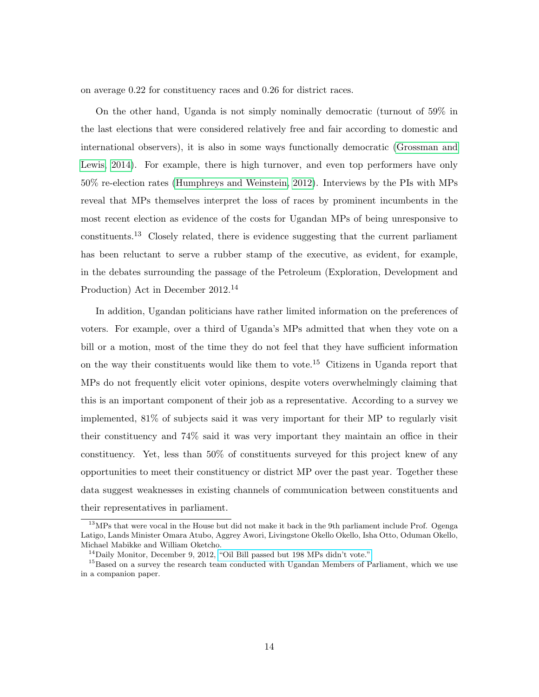on average 0.22 for constituency races and 0.26 for district races.

On the other hand, Uganda is not simply nominally democratic (turnout of 59% in the last elections that were considered relatively free and fair according to domestic and international observers), it is also in some ways functionally democratic [\(Grossman and](#page-39-7) [Lewis, 2014\)](#page-39-7). For example, there is high turnover, and even top performers have only 50% re-election rates [\(Humphreys and Weinstein, 2012\)](#page-39-8). Interviews by the PIs with MPs reveal that MPs themselves interpret the loss of races by prominent incumbents in the most recent election as evidence of the costs for Ugandan MPs of being unresponsive to constituents.<sup>13</sup> Closely related, there is evidence suggesting that the current parliament has been reluctant to serve a rubber stamp of the executive, as evident, for example, in the debates surrounding the passage of the Petroleum (Exploration, Development and Production) Act in December 2012.<sup>14</sup>

In addition, Ugandan politicians have rather limited information on the preferences of voters. For example, over a third of Uganda's MPs admitted that when they vote on a bill or a motion, most of the time they do not feel that they have sufficient information on the way their constituents would like them to vote.<sup>15</sup> Citizens in Uganda report that MPs do not frequently elicit voter opinions, despite voters overwhelmingly claiming that this is an important component of their job as a representative. According to a survey we implemented, 81% of subjects said it was very important for their MP to regularly visit their constituency and 74% said it was very important they maintain an office in their constituency. Yet, less than 50% of constituents surveyed for this project knew of any opportunities to meet their constituency or district MP over the past year. Together these data suggest weaknesses in existing channels of communication between constituents and their representatives in parliament.

<sup>13</sup>MPs that were vocal in the House but did not make it back in the 9th parliament include Prof. Ogenga Latigo, Lands Minister Omara Atubo, Aggrey Awori, Livingstone Okello Okello, Isha Otto, Oduman Okello, Michael Mabikke and William Oketcho.

<sup>14</sup>Daily Monitor, December 9, 2012, ["Oil Bill passed but 198 MPs didn't vote."](http://www.monitor.co.ug/News/National/Oil-Bill-passed-but-198-MPs-didn-t-vote/-/688334/1639574/-/hr481y/-/index.html)

<sup>&</sup>lt;sup>15</sup>Based on a survey the research team conducted with Ugandan Members of Parliament, which we use in a companion paper.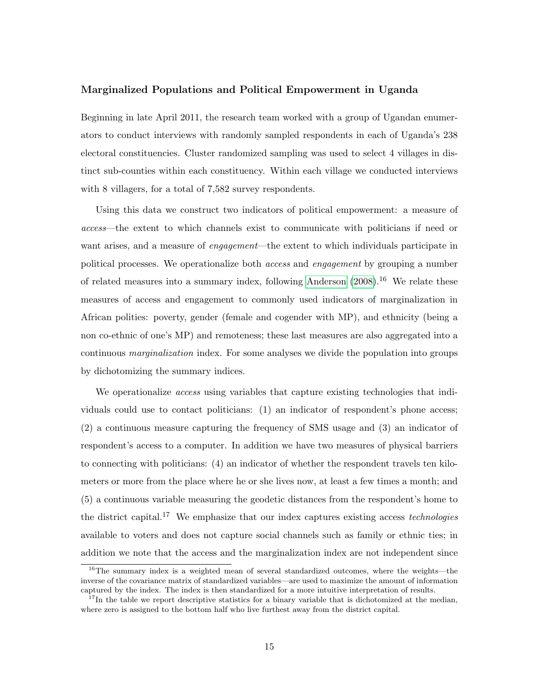#### Marginalized Populations and Political Empowerment in Uganda

Beginning in late April 2011, the research team worked with a group of Ugandan enumerators to conduct interviews with randomly sampled respondents in each of Uganda's 238 electoral constituencies. Cluster randomized sampling was used to select 4 villages in distinct sub-counties within each constituency. Within each village we conducted interviews with 8 villagers, for a total of 7,582 survey respondents.

Using this data we construct two indicators of political empowerment: a measure of access—the extent to which channels exist to communicate with politicians if need or want arises, and a measure of *engagement*—the extent to which individuals participate in political processes. We operationalize both access and engagement by grouping a number of related measures into a summary index, following [Anderson](#page-38-12)  $(2008).^{16}$  $(2008).^{16}$  We relate these measures of access and engagement to commonly used indicators of marginalization in African polities: poverty, gender (female and cogender with MP), and ethnicity (being a non co-ethnic of one's MP) and remoteness; these last measures are also aggregated into a continuous marginalization index. For some analyses we divide the population into groups by dichotomizing the summary indices.

We operationalize *access* using variables that capture existing technologies that individuals could use to contact politicians: (1) an indicator of respondent's phone access; (2) a continuous measure capturing the frequency of SMS usage and (3) an indicator of respondent's access to a computer. In addition we have two measures of physical barriers to connecting with politicians: (4) an indicator of whether the respondent travels ten kilometers or more from the place where he or she lives now, at least a few times a month; and (5) a continuous variable measuring the geodetic distances from the respondent's home to the district capital.<sup>17</sup> We emphasize that our index captures existing access *technologies* available to voters and does not capture social channels such as family or ethnic ties; in addition we note that the access and the marginalization index are not independent since

<sup>&</sup>lt;sup>16</sup>The summary index is a weighted mean of several standardized outcomes, where the weights—the inverse of the covariance matrix of standardized variables—are used to maximize the amount of information captured by the index. The index is then standardized for a more intuitive interpretation of results.

 $17$ In the table we report descriptive statistics for a binary variable that is dichotomized at the median, where zero is assigned to the bottom half who live furthest away from the district capital.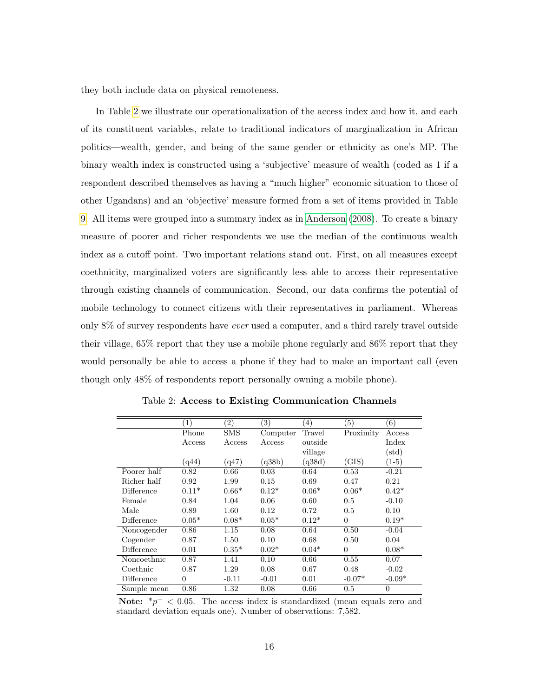they both include data on physical remoteness.

In Table [2](#page-15-0) we illustrate our operationalization of the access index and how it, and each of its constituent variables, relate to traditional indicators of marginalization in African politics—wealth, gender, and being of the same gender or ethnicity as one's MP. The binary wealth index is constructed using a 'subjective' measure of wealth (coded as 1 if a respondent described themselves as having a "much higher" economic situation to those of other Ugandans) and an 'objective' measure formed from a set of items provided in Table [9.](#page-41-0) All items were grouped into a summary index as in [Anderson](#page-38-12) [\(2008\)](#page-38-12). To create a binary measure of poorer and richer respondents we use the median of the continuous wealth index as a cutoff point. Two important relations stand out. First, on all measures except coethnicity, marginalized voters are significantly less able to access their representative through existing channels of communication. Second, our data confirms the potential of mobile technology to connect citizens with their representatives in parliament. Whereas only 8% of survey respondents have ever used a computer, and a third rarely travel outside their village, 65% report that they use a mobile phone regularly and 86% report that they would personally be able to access a phone if they had to make an important call (even though only 48% of respondents report personally owning a mobile phone).

<span id="page-15-0"></span>

|             | $\left(1\right)$ | $\left( 2\right)$ | $\left( 3\right)$ | $\left(4\right)$ | (5)       | (6)              |
|-------------|------------------|-------------------|-------------------|------------------|-----------|------------------|
|             | Phone            | <b>SMS</b>        | Computer          | Travel           | Proximity | Access           |
|             | Access           | Access            | Access            | outside          |           | Index            |
|             |                  |                   |                   | village          |           | $(\mathrm{std})$ |
|             | (q44)            | (q47)             | (q38b)            | (q38d)           | (GIS)     | $(1-5)$          |
| Poorer half | 0.82             | 0.66              | 0.03              | 0.64             | 0.53      | $-0.21$          |
| Richer half | 0.92             | 1.99              | 0.15              | 0.69             | 0.47      | 0.21             |
| Difference  | $0.11*$          | $0.66*$           | $0.12*$           | $0.06*$          | $0.06*$   | $0.42*$          |
| Female      | 0.84             | 1.04              | 0.06              | 0.60             | 0.5       | $-0.10$          |
| Male        | 0.89             | 1.60              | 0.12              | 0.72             | 0.5       | 0.10             |
| Difference  | $0.05*$          | $0.08*$           | $0.05*$           | $0.12*$          | $\Omega$  | $0.19*$          |
| Noncogender | 0.86             | 1.15              | 0.08              | 0.64             | 0.50      | $-0.04$          |
| Cogender    | 0.87             | 1.50              | 0.10              | 0.68             | 0.50      | 0.04             |
| Difference  | 0.01             | $0.35*$           | $0.02*$           | $0.04*$          | $\Omega$  | $0.08*$          |
| Noncoethnic | 0.87             | 1.41              | 0.10              | 0.66             | 0.55      | 0.07             |
| Coethnic    | 0.87             | 1.29              | 0.08              | 0.67             | 0.48      | $-0.02$          |
| Difference  | $\theta$         | $-0.11$           | $-0.01$           | 0.01             | $-0.07*$  | $-0.09*$         |
| Sample mean | 0.86             | 1.32              | 0.08              | 0.66             | 0.5       | $\boldsymbol{0}$ |

Table 2: Access to Existing Communication Channels

Note:  $*_{p^-}$  < 0.05. The access index is standardized (mean equals zero and standard deviation equals one). Number of observations: 7,582.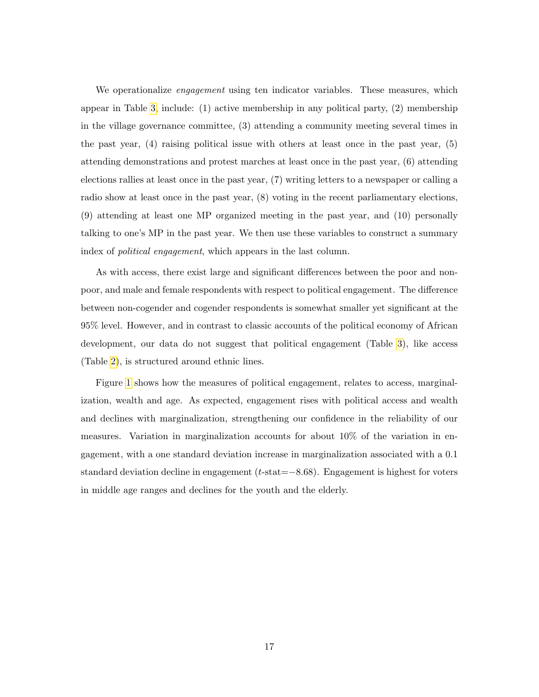We operationalize *engagement* using ten indicator variables. These measures, which appear in Table [3,](#page-18-0) include: (1) active membership in any political party, (2) membership in the village governance committee, (3) attending a community meeting several times in the past year, (4) raising political issue with others at least once in the past year, (5) attending demonstrations and protest marches at least once in the past year, (6) attending elections rallies at least once in the past year, (7) writing letters to a newspaper or calling a radio show at least once in the past year, (8) voting in the recent parliamentary elections, (9) attending at least one MP organized meeting in the past year, and (10) personally talking to one's MP in the past year. We then use these variables to construct a summary index of *political engagement*, which appears in the last column.

As with access, there exist large and significant differences between the poor and nonpoor, and male and female respondents with respect to political engagement. The difference between non-cogender and cogender respondents is somewhat smaller yet significant at the 95% level. However, and in contrast to classic accounts of the political economy of African development, our data do not suggest that political engagement (Table [3\)](#page-18-0), like access (Table [2\)](#page-15-0), is structured around ethnic lines.

Figure [1](#page-17-0) shows how the measures of political engagement, relates to access, marginalization, wealth and age. As expected, engagement rises with political access and wealth and declines with marginalization, strengthening our confidence in the reliability of our measures. Variation in marginalization accounts for about  $10\%$  of the variation in engagement, with a one standard deviation increase in marginalization associated with a 0.1 standard deviation decline in engagement  $(t\text{-stat}=-8.68)$ . Engagement is highest for voters in middle age ranges and declines for the youth and the elderly.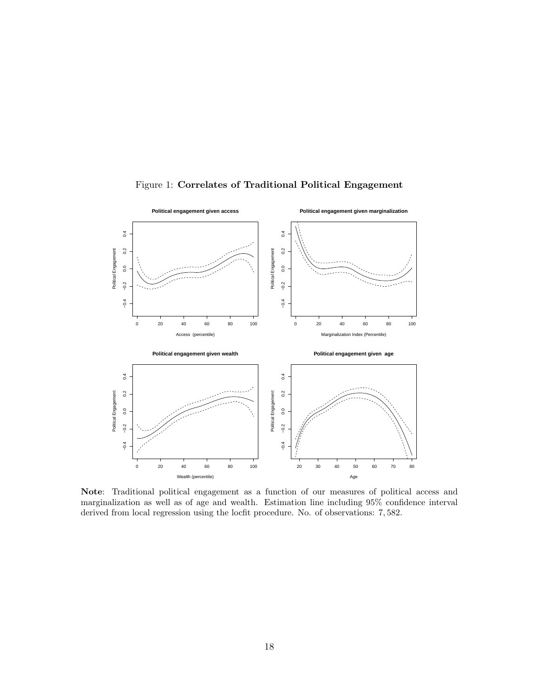<span id="page-17-0"></span>

Figure 1: Correlates of Traditional Political Engagement

Note: Traditional political engagement as a function of our measures of political access and marginalization as well as of age and wealth. Estimation line including 95% confidence interval derived from local regression using the locfit procedure. No. of observations: 7, 582.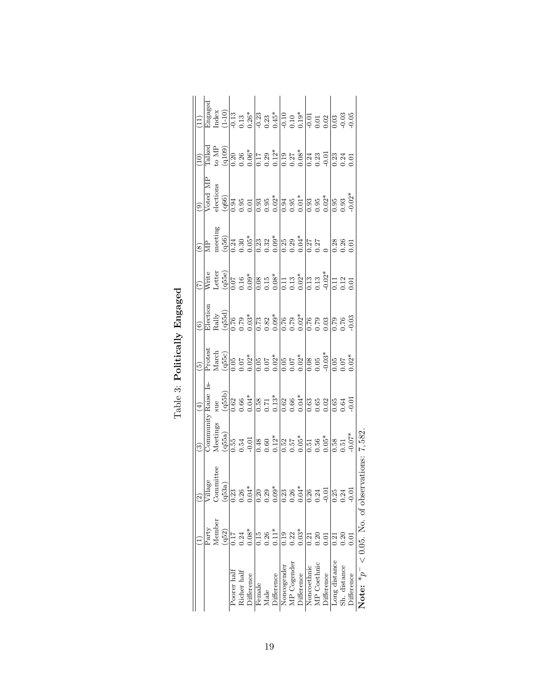<span id="page-18-0"></span>

| $\Xi$          |                     |          |                                                                                                                                                                                                                                                                                                                                                                                                                                                                                                                                                                                                                                                     |             |             |                                                     |                   |      |                  |                   |                    |                      |             |                    |                   |               |              |                   |                                               |
|----------------|---------------------|----------|-----------------------------------------------------------------------------------------------------------------------------------------------------------------------------------------------------------------------------------------------------------------------------------------------------------------------------------------------------------------------------------------------------------------------------------------------------------------------------------------------------------------------------------------------------------------------------------------------------------------------------------------------------|-------------|-------------|-----------------------------------------------------|-------------------|------|------------------|-------------------|--------------------|----------------------|-------------|--------------------|-------------------|---------------|--------------|-------------------|-----------------------------------------------|
| $\widehat{=}$  |                     |          |                                                                                                                                                                                                                                                                                                                                                                                                                                                                                                                                                                                                                                                     |             |             |                                                     |                   |      |                  |                   |                    |                      |             |                    |                   |               |              |                   |                                               |
|                | <i>loted</i> MI     | $3$      |                                                                                                                                                                                                                                                                                                                                                                                                                                                                                                                                                                                                                                                     |             |             |                                                     |                   |      |                  |                   |                    |                      |             |                    |                   |               |              |                   |                                               |
| $\circled{s}$  | È                   |          |                                                                                                                                                                                                                                                                                                                                                                                                                                                                                                                                                                                                                                                     |             |             |                                                     |                   |      |                  |                   |                    |                      |             |                    |                   |               |              |                   |                                               |
|                |                     |          |                                                                                                                                                                                                                                                                                                                                                                                                                                                                                                                                                                                                                                                     |             |             |                                                     |                   |      |                  |                   |                    |                      |             |                    |                   |               |              |                   |                                               |
| $\widehat{6}$  | Election            |          | $\begin{array}{l} \mathbb{A} \stackrel{1}{\rightarrow} \stackrel{1}{\rightarrow} \stackrel{2}{\rightarrow} \stackrel{3}{\rightarrow} \stackrel{4}{\rightarrow} \stackrel{5}{\rightarrow} \stackrel{6}{\rightarrow} \stackrel{6}{\rightarrow} \stackrel{7}{\rightarrow} \stackrel{8}{\rightarrow} \stackrel{8}{\rightarrow} \stackrel{7}{\rightarrow} \stackrel{8}{\rightarrow} \stackrel{8}{\rightarrow} \stackrel{7}{\rightarrow} \stackrel{8}{\rightarrow} \stackrel{8}{\rightarrow} \stackrel{7}{\rightarrow} \stackrel{8}{\rightarrow} \stackrel{8}{\rightarrow} \stackrel{8}{\rightarrow} \stackrel{7}{\rightarrow} \stackrel{8}{\rightarrow}$ |             |             |                                                     |                   |      |                  |                   |                    |                      |             |                    |                   |               |              |                   |                                               |
| $\widehat{5}$  |                     |          |                                                                                                                                                                                                                                                                                                                                                                                                                                                                                                                                                                                                                                                     |             |             |                                                     |                   |      |                  |                   |                    |                      |             |                    |                   |               |              |                   |                                               |
| $\overline{4}$ | Jommunity Raise Is- |          |                                                                                                                                                                                                                                                                                                                                                                                                                                                                                                                                                                                                                                                     |             |             |                                                     |                   |      |                  |                   |                    |                      |             |                    |                   |               |              |                   |                                               |
| ි              |                     | Meetings |                                                                                                                                                                                                                                                                                                                                                                                                                                                                                                                                                                                                                                                     |             |             |                                                     |                   |      |                  |                   |                    |                      |             |                    |                   |               |              |                   | 7,582.                                        |
|                | lage<br>戸           | Commit   | (q53a)                                                                                                                                                                                                                                                                                                                                                                                                                                                                                                                                                                                                                                              |             |             | $\begin{array}{c} 0.23 \\ 0.26 \\ 0.04 \end{array}$ | $\overline{0.20}$ | 0.29 | $0.09*$          | $\overline{0.23}$ | 0.26               | $\frac{0.04*}{0.26}$ |             | 0.24               | $-0.0$            | 0.25          | 0.24         |                   |                                               |
|                | Party               | Member   | (q52)                                                                                                                                                                                                                                                                                                                                                                                                                                                                                                                                                                                                                                               |             | 0.24        | $0.08*$                                             | 0.15              | 0.26 | $0.11*$          | 0.19              | 0.22               | $0.03*$              | 5.C         | 0.20               | $\Xi$             | 0.21          | 0.20         |                   |                                               |
|                |                     |          |                                                                                                                                                                                                                                                                                                                                                                                                                                                                                                                                                                                                                                                     | Poorer half | Richer half | <b>Difference</b>                                   | Female            | Male | <b>Ifference</b> | Voncogender       | <b>IP</b> Cogender | <b>)ifference</b>    | Noncoethnic | <b>MP</b> Coethnic | <b>Jifference</b> | Long distance | Sh. distance | <b>Difference</b> | Note: $*_{p^-} < 0.05$ . No. of observations: |

| Engagec                 |  |
|-------------------------|--|
| cal<br>í<br>Politi      |  |
| $\ddot{\cdot}$<br>Dable |  |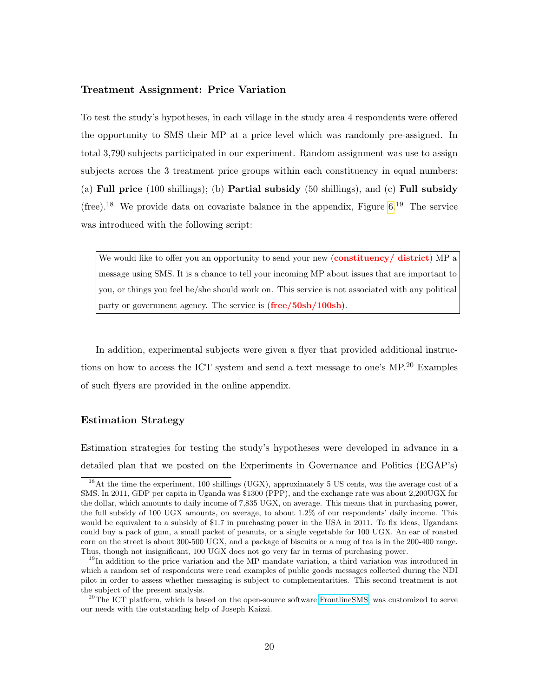#### Treatment Assignment: Price Variation

To test the study's hypotheses, in each village in the study area 4 respondents were offered the opportunity to SMS their MP at a price level which was randomly pre-assigned. In total 3,790 subjects participated in our experiment. Random assignment was use to assign subjects across the 3 treatment price groups within each constituency in equal numbers: (a) Full price (100 shillings); (b) Partial subsidy (50 shillings), and (c) Full subsidy (free).<sup>18</sup> We provide data on covariate balance in the appendix, Figure  $6^{19}$  The service was introduced with the following script:

We would like to offer you an opportunity to send your new  $(constituency/district)$  MP a message using SMS. It is a chance to tell your incoming MP about issues that are important to you, or things you feel he/she should work on. This service is not associated with any political party or government agency. The service is  $(**free/50sh/100sh**)$ .

In addition, experimental subjects were given a flyer that provided additional instructions on how to access the ICT system and send a text message to one's MP.<sup>20</sup> Examples of such flyers are provided in the online appendix.

#### Estimation Strategy

Estimation strategies for testing the study's hypotheses were developed in advance in a detailed plan that we posted on the Experiments in Governance and Politics (EGAP's)

<sup>&</sup>lt;sup>18</sup>At the time the experiment, 100 shillings (UGX), approximately 5 US cents, was the average cost of a SMS. In 2011, GDP per capita in Uganda was \$1300 (PPP), and the exchange rate was about 2,200UGX for the dollar, which amounts to daily income of 7,835 UGX, on average. This means that in purchasing power, the full subsidy of 100 UGX amounts, on average, to about 1.2% of our respondents' daily income. This would be equivalent to a subsidy of \$1.7 in purchasing power in the USA in 2011. To fix ideas, Ugandans could buy a pack of gum, a small packet of peanuts, or a single vegetable for 100 UGX. An ear of roasted corn on the street is about 300-500 UGX, and a package of biscuits or a mug of tea is in the 200-400 range. Thus, though not insignificant, 100 UGX does not go very far in terms of purchasing power.

 $19$ In addition to the price variation and the MP mandate variation, a third variation was introduced in which a random set of respondents were read examples of public goods messages collected during the NDI pilot in order to assess whether messaging is subject to complementarities. This second treatment is not the subject of the present analysis.

<sup>&</sup>lt;sup>20</sup>The ICT platform, which is based on the open-source software [FrontlineSMS,](http://www.frontlinesms.com/) was customized to serve our needs with the outstanding help of Joseph Kaizzi.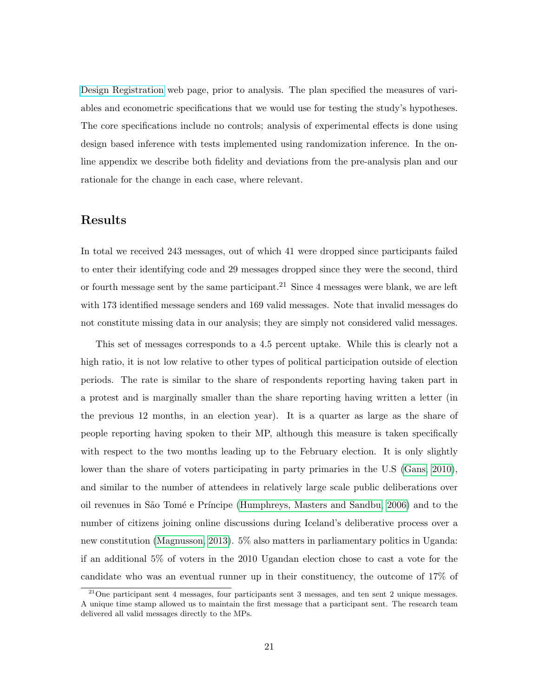[Design Registration](http://e-gap.org/design-registration/) web page, prior to analysis. The plan specified the measures of variables and econometric specifications that we would use for testing the study's hypotheses. The core specifications include no controls; analysis of experimental effects is done using design based inference with tests implemented using randomization inference. In the online appendix we describe both fidelity and deviations from the pre-analysis plan and our rationale for the change in each case, where relevant.

## Results

In total we received 243 messages, out of which 41 were dropped since participants failed to enter their identifying code and 29 messages dropped since they were the second, third or fourth message sent by the same participant.<sup>21</sup> Since 4 messages were blank, we are left with 173 identified message senders and 169 valid messages. Note that invalid messages do not constitute missing data in our analysis; they are simply not considered valid messages.

This set of messages corresponds to a 4.5 percent uptake. While this is clearly not a high ratio, it is not low relative to other types of political participation outside of election periods. The rate is similar to the share of respondents reporting having taken part in a protest and is marginally smaller than the share reporting having written a letter (in the previous 12 months, in an election year). It is a quarter as large as the share of people reporting having spoken to their MP, although this measure is taken specifically with respect to the two months leading up to the February election. It is only slightly lower than the share of voters participating in party primaries in the U.S [\(Gans, 2010\)](#page-39-9), and similar to the number of attendees in relatively large scale public deliberations over oil revenues in S˜ao Tom´e e Pr´ıncipe [\(Humphreys, Masters and Sandbu, 2006\)](#page-39-10) and to the number of citizens joining online discussions during Iceland's deliberative process over a new constitution [\(Magnusson, 2013\)](#page-40-12). 5% also matters in parliamentary politics in Uganda: if an additional 5% of voters in the 2010 Ugandan election chose to cast a vote for the candidate who was an eventual runner up in their constituency, the outcome of 17% of

 $^{21}$ One participant sent 4 messages, four participants sent 3 messages, and ten sent 2 unique messages. A unique time stamp allowed us to maintain the first message that a participant sent. The research team delivered all valid messages directly to the MPs.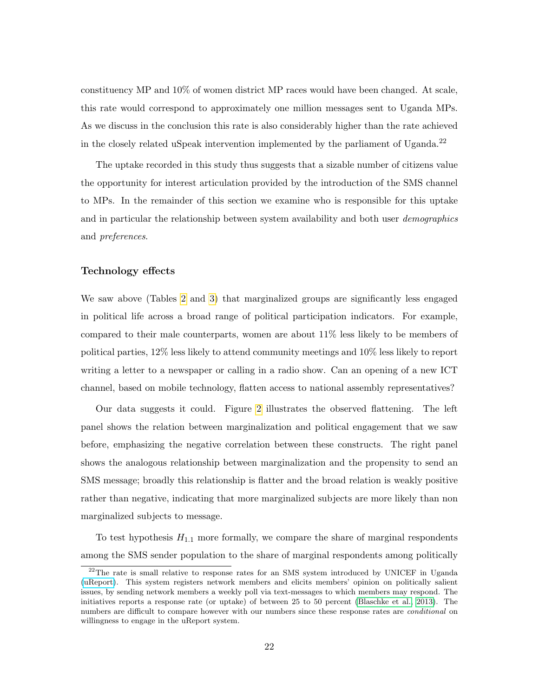constituency MP and 10% of women district MP races would have been changed. At scale, this rate would correspond to approximately one million messages sent to Uganda MPs. As we discuss in the conclusion this rate is also considerably higher than the rate achieved in the closely related uSpeak intervention implemented by the parliament of Uganda.<sup>22</sup>

The uptake recorded in this study thus suggests that a sizable number of citizens value the opportunity for interest articulation provided by the introduction of the SMS channel to MPs. In the remainder of this section we examine who is responsible for this uptake and in particular the relationship between system availability and both user demographics and preferences.

#### Technology effects

We saw above (Tables [2](#page-15-0) and [3\)](#page-18-0) that marginalized groups are significantly less engaged in political life across a broad range of political participation indicators. For example, compared to their male counterparts, women are about 11% less likely to be members of political parties, 12% less likely to attend community meetings and 10% less likely to report writing a letter to a newspaper or calling in a radio show. Can an opening of a new ICT channel, based on mobile technology, flatten access to national assembly representatives?

Our data suggests it could. Figure [2](#page-22-0) illustrates the observed flattening. The left panel shows the relation between marginalization and political engagement that we saw before, emphasizing the negative correlation between these constructs. The right panel shows the analogous relationship between marginalization and the propensity to send an SMS message; broadly this relationship is flatter and the broad relation is weakly positive rather than negative, indicating that more marginalized subjects are more likely than non marginalized subjects to message.

To test hypothesis  $H_{1,1}$  more formally, we compare the share of marginal respondents among the SMS sender population to the share of marginal respondents among politically

 $^{22}$ The rate is small relative to response rates for an SMS system introduced by UNICEF in Uganda [\(uReport\)](http://ureport.ug/). This system registers network members and elicits members' opinion on politically salient issues, by sending network members a weekly poll via text-messages to which members may respond. The initiatives reports a response rate (or uptake) of between 25 to 50 percent [\(Blaschke et al., 2013\)](#page-38-13). The numbers are difficult to compare however with our numbers since these response rates are *conditional* on willingness to engage in the uReport system.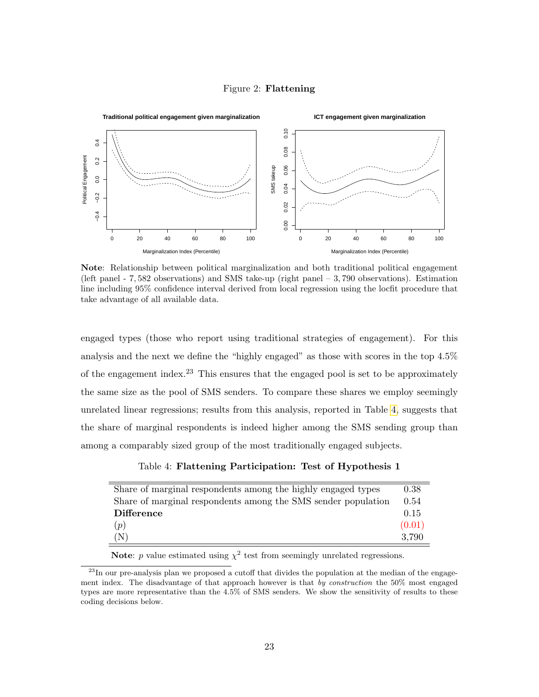

<span id="page-22-0"></span>

Note: Relationship between political marginalization and both traditional political engagement (left panel - 7, 582 observations) and SMS take-up (right panel – 3, 790 observations). Estimation line including 95% confidence interval derived from local regression using the locfit procedure that take advantage of all available data.

engaged types (those who report using traditional strategies of engagement). For this analysis and the next we define the "highly engaged" as those with scores in the top 4.5% of the engagement index.<sup>23</sup> This ensures that the engaged pool is set to be approximately the same size as the pool of SMS senders. To compare these shares we employ seemingly unrelated linear regressions; results from this analysis, reported in Table [4,](#page-22-1) suggests that the share of marginal respondents is indeed higher among the SMS sending group than among a comparably sized group of the most traditionally engaged subjects.

Table 4: Flattening Participation: Test of Hypothesis 1

<span id="page-22-1"></span>

| Share of marginal respondents among the highly engaged types  | 0.38   |
|---------------------------------------------------------------|--------|
| Share of marginal respondents among the SMS sender population | 0.54   |
| <b>Difference</b>                                             | 0.15   |
| (p)                                                           | (0.01) |
| N                                                             | 3.790  |

Note: p value estimated using  $\chi^2$  test from seemingly unrelated regressions.

 $^{23}$ In our pre-analysis plan we proposed a cutoff that divides the population at the median of the engagement index. The disadvantage of that approach however is that by construction the 50% most engaged types are more representative than the 4.5% of SMS senders. We show the sensitivity of results to these coding decisions below.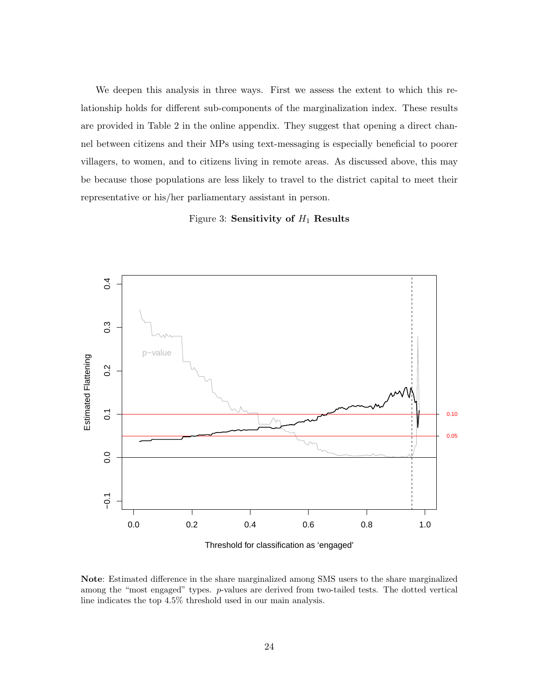We deepen this analysis in three ways. First we assess the extent to which this relationship holds for different sub-components of the marginalization index. These results are provided in Table 2 in the online appendix. They suggest that opening a direct channel between citizens and their MPs using text-messaging is especially beneficial to poorer villagers, to women, and to citizens living in remote areas. As discussed above, this may be because those populations are less likely to travel to the district capital to meet their representative or his/her parliamentary assistant in person.

Figure 3: Sensitivity of  $H_1$  Results

<span id="page-23-0"></span>

Note: Estimated difference in the share marginalized among SMS users to the share marginalized among the "most engaged" types. p-values are derived from two-tailed tests. The dotted vertical line indicates the top 4.5% threshold used in our main analysis.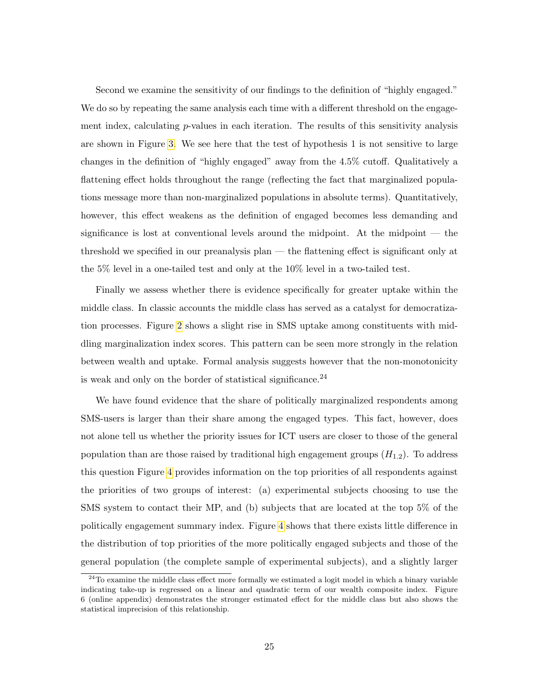Second we examine the sensitivity of our findings to the definition of "highly engaged." We do so by repeating the same analysis each time with a different threshold on the engagement index, calculating  $p$ -values in each iteration. The results of this sensitivity analysis are shown in Figure [3.](#page-23-0) We see here that the test of hypothesis 1 is not sensitive to large changes in the definition of "highly engaged" away from the 4.5% cutoff. Qualitatively a flattening effect holds throughout the range (reflecting the fact that marginalized populations message more than non-marginalized populations in absolute terms). Quantitatively, however, this effect weakens as the definition of engaged becomes less demanding and significance is lost at conventional levels around the midpoint. At the midpoint — the threshold we specified in our preanalysis plan — the flattening effect is significant only at the 5% level in a one-tailed test and only at the 10% level in a two-tailed test.

Finally we assess whether there is evidence specifically for greater uptake within the middle class. In classic accounts the middle class has served as a catalyst for democratization processes. Figure [2](#page-22-0) shows a slight rise in SMS uptake among constituents with middling marginalization index scores. This pattern can be seen more strongly in the relation between wealth and uptake. Formal analysis suggests however that the non-monotonicity is weak and only on the border of statistical significance.  $^{24}$ 

We have found evidence that the share of politically marginalized respondents among SMS-users is larger than their share among the engaged types. This fact, however, does not alone tell us whether the priority issues for ICT users are closer to those of the general population than are those raised by traditional high engagement groups  $(H_{1,2})$ . To address this question Figure [4](#page-25-0) provides information on the top priorities of all respondents against the priorities of two groups of interest: (a) experimental subjects choosing to use the SMS system to contact their MP, and (b) subjects that are located at the top 5% of the politically engagement summary index. Figure [4](#page-25-0) shows that there exists little difference in the distribution of top priorities of the more politically engaged subjects and those of the general population (the complete sample of experimental subjects), and a slightly larger

 $24$ To examine the middle class effect more formally we estimated a logit model in which a binary variable indicating take-up is regressed on a linear and quadratic term of our wealth composite index. Figure 6 (online appendix) demonstrates the stronger estimated effect for the middle class but also shows the statistical imprecision of this relationship.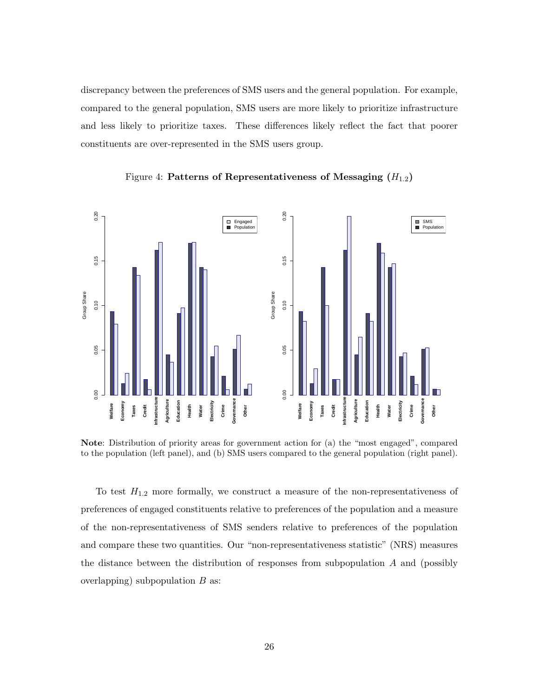discrepancy between the preferences of SMS users and the general population. For example, compared to the general population, SMS users are more likely to prioritize infrastructure and less likely to prioritize taxes. These differences likely reflect the fact that poorer constituents are over-represented in the SMS users group.

<span id="page-25-0"></span>

Figure 4: Patterns of Representativeness of Messaging  $(H_{1,2})$ 

Note: Distribution of priority areas for government action for (a) the "most engaged", compared to the population (left panel), and (b) SMS users compared to the general population (right panel).

To test  $H_{1,2}$  more formally, we construct a measure of the non-representativeness of preferences of engaged constituents relative to preferences of the population and a measure of the non-representativeness of SMS senders relative to preferences of the population and compare these two quantities. Our "non-representativeness statistic" (NRS) measures the distance between the distribution of responses from subpopulation  $A$  and (possibly overlapping) subpopulation  $B$  as: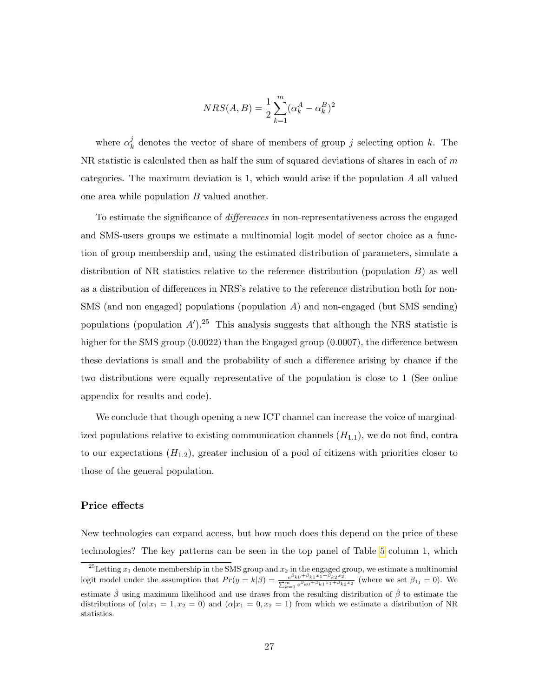$$
NRS(A, B) = \frac{1}{2} \sum_{k=1}^{m} (\alpha_k^A - \alpha_k^B)^2
$$

where  $\alpha_k^j$  $\lambda_k^j$  denotes the vector of share of members of group j selecting option k. The NR statistic is calculated then as half the sum of squared deviations of shares in each of  $m$ categories. The maximum deviation is 1, which would arise if the population A all valued one area while population B valued another.

To estimate the significance of differences in non-representativeness across the engaged and SMS-users groups we estimate a multinomial logit model of sector choice as a function of group membership and, using the estimated distribution of parameters, simulate a distribution of NR statistics relative to the reference distribution (population  $B$ ) as well as a distribution of differences in NRS's relative to the reference distribution both for non-SMS (and non engaged) populations (population A) and non-engaged (but SMS sending) populations (population  $A'$ ).<sup>25</sup> This analysis suggests that although the NRS statistic is higher for the SMS group (0.0022) than the Engaged group (0.0007), the difference between these deviations is small and the probability of such a difference arising by chance if the two distributions were equally representative of the population is close to 1 (See online appendix for results and code).

We conclude that though opening a new ICT channel can increase the voice of marginalized populations relative to existing communication channels  $(H_{1,1})$ , we do not find, contra to our expectations  $(H_{1,2})$ , greater inclusion of a pool of citizens with priorities closer to those of the general population.

#### Price effects

New technologies can expand access, but how much does this depend on the price of these technologies? The key patterns can be seen in the top panel of Table [5](#page-28-0) column 1, which

<sup>&</sup>lt;sup>25</sup>Letting  $x_1$  denote membership in the SMS group and  $x_2$  in the engaged group, we estimate a multinomial logit model under the assumption that  $Pr(y = k | \beta) = \frac{e^{\beta_{k0} + \beta_{k1}x_1 + \beta_{k2}x_2}}{\sum_{m} \beta_{k0} + \beta_{k1}x_1 + \beta_{k}}$  $\frac{e^{\mu_{k0}+\mu_{k1}+\mu_{k2}+2}}{\sum_{k=1}^{m}e^{\beta_{k0}+\beta_{k1}x_{1}+\beta_{k2}x_{2}}}$  (where we set  $\beta_{1j}=0$ ). We estimate  $\hat{\beta}$  using maximum likelihood and use draws from the resulting distribution of  $\hat{\beta}$  to estimate the distributions of  $(\alpha|x_1 = 1, x_2 = 0)$  and  $(\alpha|x_1 = 0, x_2 = 1)$  from which we estimate a distribution of NR statistics.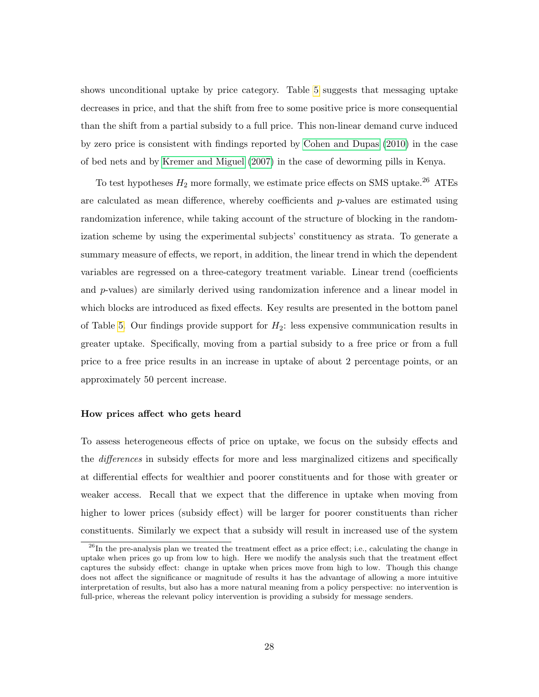shows unconditional uptake by price category. Table [5](#page-28-0) suggests that messaging uptake decreases in price, and that the shift from free to some positive price is more consequential than the shift from a partial subsidy to a full price. This non-linear demand curve induced by zero price is consistent with findings reported by [Cohen and Dupas](#page-39-11) [\(2010\)](#page-39-11) in the case of bed nets and by [Kremer and Miguel](#page-39-12) [\(2007\)](#page-39-12) in the case of deworming pills in Kenya.

To test hypotheses  $H_2$  more formally, we estimate price effects on SMS uptake.<sup>26</sup> ATEs are calculated as mean difference, whereby coefficients and p-values are estimated using randomization inference, while taking account of the structure of blocking in the randomization scheme by using the experimental subjects' constituency as strata. To generate a summary measure of effects, we report, in addition, the linear trend in which the dependent variables are regressed on a three-category treatment variable. Linear trend (coefficients and p-values) are similarly derived using randomization inference and a linear model in which blocks are introduced as fixed effects. Key results are presented in the bottom panel of Table [5.](#page-28-0) Our findings provide support for  $H_2$ : less expensive communication results in greater uptake. Specifically, moving from a partial subsidy to a free price or from a full price to a free price results in an increase in uptake of about 2 percentage points, or an approximately 50 percent increase.

#### How prices affect who gets heard

To assess heterogeneous effects of price on uptake, we focus on the subsidy effects and the differences in subsidy effects for more and less marginalized citizens and specifically at differential effects for wealthier and poorer constituents and for those with greater or weaker access. Recall that we expect that the difference in uptake when moving from higher to lower prices (subsidy effect) will be larger for poorer constituents than richer constituents. Similarly we expect that a subsidy will result in increased use of the system

<sup>&</sup>lt;sup>26</sup>In the pre-analysis plan we treated the treatment effect as a price effect; i.e., calculating the change in uptake when prices go up from low to high. Here we modify the analysis such that the treatment effect captures the subsidy effect: change in uptake when prices move from high to low. Though this change does not affect the significance or magnitude of results it has the advantage of allowing a more intuitive interpretation of results, but also has a more natural meaning from a policy perspective: no intervention is full-price, whereas the relevant policy intervention is providing a subsidy for message senders.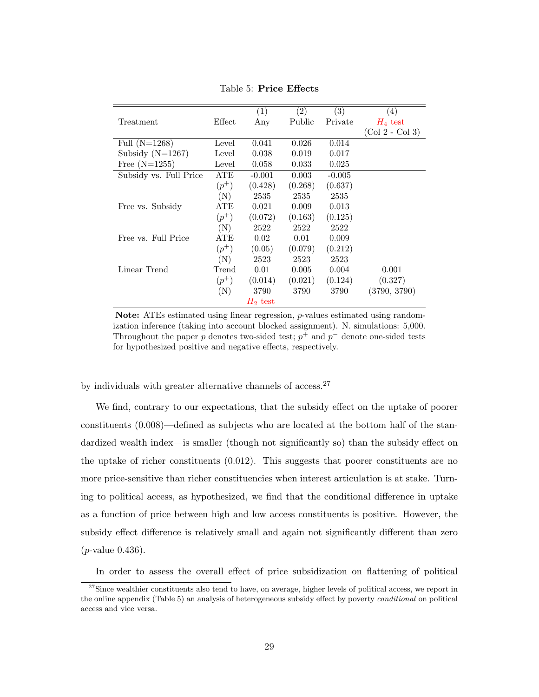<span id="page-28-0"></span>

|                        |             | (1)        | (2)     | (3)      | $\left( 4\right)$ |
|------------------------|-------------|------------|---------|----------|-------------------|
| Treatment              | Effect      | Any        | Public  | Private  | $H_4$ test        |
|                        |             |            |         |          | $(Col 2 - Col 3)$ |
| Full $(N=1268)$        | Level       | 0.041      | 0.026   | 0.014    |                   |
| Subsidy $(N=1267)$     | Level       | 0.038      | 0.019   | 0.017    |                   |
| Free $(N=1255)$        | Level       | 0.058      | 0.033   | 0.025    |                   |
| Subsidy vs. Full Price | <b>ATE</b>  | $-0.001$   | 0.003   | $-0.005$ |                   |
|                        | $(p^{+})$   | (0.428)    | (0.268) | (0.637)  |                   |
|                        | $({\rm N})$ | 2535       | 2535    | 2535     |                   |
| Free vs. Subsidy       | ATE         | 0.021      | 0.009   | 0.013    |                   |
|                        | $(p^{+})$   | (0.072)    | (0.163) | (0.125)  |                   |
|                        | $({\rm N})$ | 2522       | 2522    | 2522     |                   |
| Free vs. Full Price    | <b>ATE</b>  | 0.02       | 0.01    | 0.009    |                   |
|                        | $(p^{+})$   | (0.05)     | (0.079) | (0.212)  |                   |
|                        | (N)         | 2523       | 2523    | 2523     |                   |
| Linear Trend           | Trend       | 0.01       | 0.005   | 0.004    | 0.001             |
|                        | $(p^{+})$   | (0.014)    | (0.021) | (0.124)  | (0.327)           |
|                        | $({\rm N})$ | 3790       | 3790    | 3790     | (3790, 3790)      |
|                        |             | $H_2$ test |         |          |                   |

Table 5: Price Effects

Note: ATEs estimated using linear regression, p-values estimated using randomization inference (taking into account blocked assignment). N. simulations: 5,000. Throughout the paper p denotes two-sided test;  $p^+$  and  $p^-$  denote one-sided tests for hypothesized positive and negative effects, respectively.

by individuals with greater alternative channels of access.<sup>27</sup>

We find, contrary to our expectations, that the subsidy effect on the uptake of poorer constituents (0.008)—defined as subjects who are located at the bottom half of the standardized wealth index—is smaller (though not significantly so) than the subsidy effect on the uptake of richer constituents (0.012). This suggests that poorer constituents are no more price-sensitive than richer constituencies when interest articulation is at stake. Turning to political access, as hypothesized, we find that the conditional difference in uptake as a function of price between high and low access constituents is positive. However, the subsidy effect difference is relatively small and again not significantly different than zero (p-value 0.436).

In order to assess the overall effect of price subsidization on flattening of political

<sup>&</sup>lt;sup>27</sup>Since wealthier constituents also tend to have, on average, higher levels of political access, we report in the online appendix (Table 5) an analysis of heterogeneous subsidy effect by poverty conditional on political access and vice versa.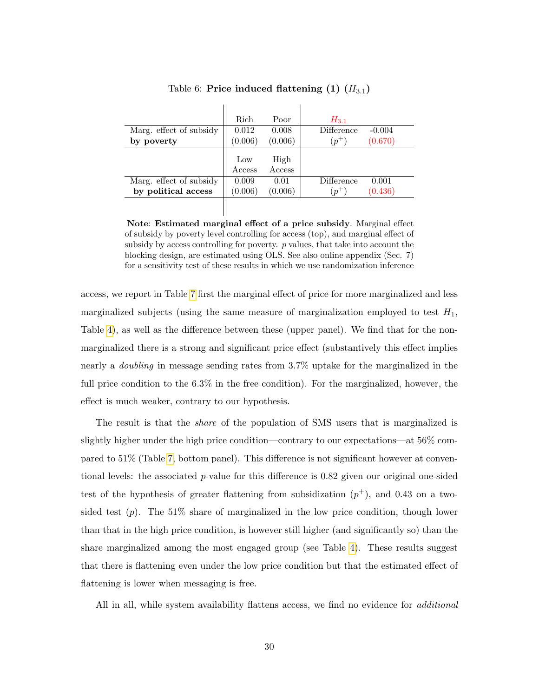|                         | Rich                 | Poor           | $H_{3,1}$             |          |  |
|-------------------------|----------------------|----------------|-----------------------|----------|--|
| Marg. effect of subsidy | 0.012                | 0.008          | Difference            | $-0.004$ |  |
| by poverty              | (0.006)              | (0.006)        | $\gamma$ <sup>+</sup> | (0.670)  |  |
|                         | Low<br><b>Access</b> | High<br>Access |                       |          |  |
| Marg. effect of subsidy | 0.009                | 0.01           | Difference            | 0.001    |  |
| by political access     | (0.006)              | (0.006)        |                       | (0.436)  |  |
|                         |                      |                |                       |          |  |
|                         |                      |                |                       |          |  |

Table 6: Price induced flattening  $(1)$   $(H_{3.1})$ 

Note: Estimated marginal effect of a price subsidy. Marginal effect of subsidy by poverty level controlling for access (top), and marginal effect of subsidy by access controlling for poverty.  $p$  values, that take into account the blocking design, are estimated using OLS. See also online appendix (Sec. 7) for a sensitivity test of these results in which we use randomization inference

access, we report in Table [7](#page-30-0) first the marginal effect of price for more marginalized and less marginalized subjects (using the same measure of marginalization employed to test  $H_1$ , Table [4\)](#page-22-1), as well as the difference between these (upper panel). We find that for the nonmarginalized there is a strong and significant price effect (substantively this effect implies nearly a doubling in message sending rates from 3.7% uptake for the marginalized in the full price condition to the 6.3% in the free condition). For the marginalized, however, the effect is much weaker, contrary to our hypothesis.

The result is that the share of the population of SMS users that is marginalized is slightly higher under the high price condition—contrary to our expectations—at 56% compared to 51% (Table [7,](#page-30-0) bottom panel). This difference is not significant however at conventional levels: the associated  $p$ -value for this difference is 0.82 given our original one-sided test of the hypothesis of greater flattening from subsidization  $(p^+)$ , and 0.43 on a twosided test  $(p)$ . The 51% share of marginalized in the low price condition, though lower than that in the high price condition, is however still higher (and significantly so) than the share marginalized among the most engaged group (see Table [4\)](#page-22-1). These results suggest that there is flattening even under the low price condition but that the estimated effect of flattening is lower when messaging is free.

All in all, while system availability flattens access, we find no evidence for additional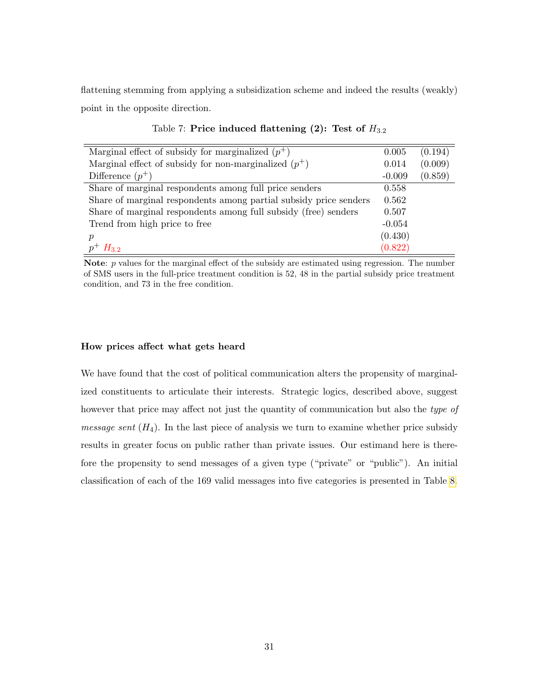flattening stemming from applying a subsidization scheme and indeed the results (weakly) point in the opposite direction.

<span id="page-30-0"></span>

| Marginal effect of subsidy for marginalized $(p^+)$               | 0.005    | (0.194) |
|-------------------------------------------------------------------|----------|---------|
| Marginal effect of subsidy for non-marginalized $(p^+)$           | 0.014    | (0.009) |
| Difference $(p^+)$                                                | $-0.009$ | (0.859) |
| Share of marginal respondents among full price senders            | 0.558    |         |
| Share of marginal respondents among partial subsidy price senders | 0.562    |         |
| Share of marginal respondents among full subsidy (free) senders   | 0.507    |         |
| Trend from high price to free                                     | $-0.054$ |         |
|                                                                   | (0.430)  |         |
| H3 2                                                              | (0.822)  |         |

Table 7: Price induced flattening  $(2)$ : Test of  $H_{3,2}$ 

Note:  $p$  values for the marginal effect of the subsidy are estimated using regression. The number of SMS users in the full-price treatment condition is 52, 48 in the partial subsidy price treatment condition, and 73 in the free condition.

#### How prices affect what gets heard

We have found that the cost of political communication alters the propensity of marginalized constituents to articulate their interests. Strategic logics, described above, suggest however that price may affect not just the quantity of communication but also the type of *message sent*  $(H_4)$ . In the last piece of analysis we turn to examine whether price subsidy results in greater focus on public rather than private issues. Our estimand here is therefore the propensity to send messages of a given type ("private" or "public"). An initial classification of each of the 169 valid messages into five categories is presented in Table [8.](#page-31-0)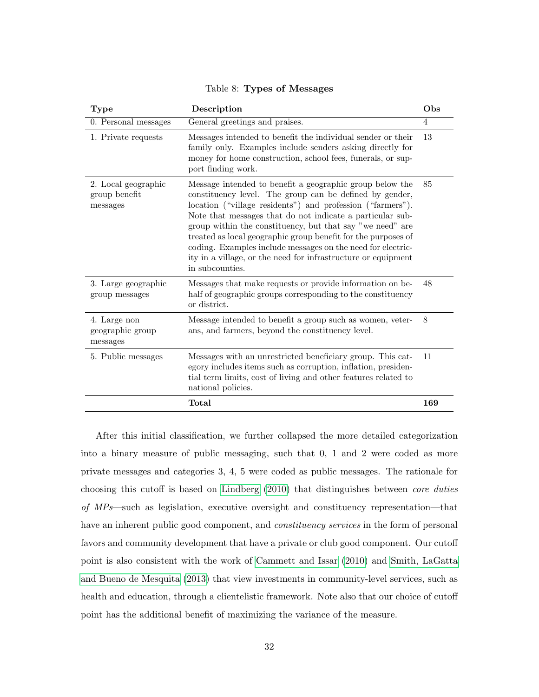<span id="page-31-0"></span>

| <b>Type</b>                                      | Description                                                                                                                                                                                                                                                                                                                                                                                                                                                                                                                     | Obs            |
|--------------------------------------------------|---------------------------------------------------------------------------------------------------------------------------------------------------------------------------------------------------------------------------------------------------------------------------------------------------------------------------------------------------------------------------------------------------------------------------------------------------------------------------------------------------------------------------------|----------------|
| 0. Personal messages                             | General greetings and praises.                                                                                                                                                                                                                                                                                                                                                                                                                                                                                                  | $\overline{4}$ |
| 1. Private requests                              | Messages intended to benefit the individual sender or their<br>family only. Examples include senders asking directly for<br>money for home construction, school fees, funerals, or sup-<br>port finding work.                                                                                                                                                                                                                                                                                                                   | 13             |
| 2. Local geographic<br>group benefit<br>messages | Message intended to benefit a geographic group below the<br>constituency level. The group can be defined by gender,<br>location ("village residents") and profession ("farmers").<br>Note that messages that do not indicate a particular sub-<br>group within the constituency, but that say "we need" are<br>treated as local geographic group benefit for the purposes of<br>coding. Examples include messages on the need for electric-<br>ity in a village, or the need for infrastructure or equipment<br>in subcounties. | 85             |
| 3. Large geographic<br>group messages            | Messages that make requests or provide information on be-<br>half of geographic groups corresponding to the constituency<br>or district.                                                                                                                                                                                                                                                                                                                                                                                        | 48             |
| 4. Large non<br>geographic group<br>messages     | Message intended to benefit a group such as women, veter-<br>ans, and farmers, beyond the constituency level.                                                                                                                                                                                                                                                                                                                                                                                                                   | 8              |
| 5. Public messages                               | Messages with an unrestricted beneficiary group. This cat-<br>egory includes items such as corruption, inflation, presiden-<br>tial term limits, cost of living and other features related to<br>national policies.                                                                                                                                                                                                                                                                                                             | 11             |
|                                                  | Total                                                                                                                                                                                                                                                                                                                                                                                                                                                                                                                           | 169            |

Table 8: Types of Messages

After this initial classification, we further collapsed the more detailed categorization into a binary measure of public messaging, such that 0, 1 and 2 were coded as more private messages and categories 3, 4, 5 were coded as public messages. The rationale for choosing this cutoff is based on [Lindberg](#page-39-13) [\(2010\)](#page-39-13) that distinguishes between core duties of MPs—such as legislation, executive oversight and constituency representation—that have an inherent public good component, and *constituency services* in the form of personal favors and community development that have a private or club good component. Our cutoff point is also consistent with the work of [Cammett and Issar](#page-38-14) [\(2010\)](#page-38-14) and [Smith, LaGatta](#page-40-13) [and Bueno de Mesquita](#page-40-13) [\(2013\)](#page-40-13) that view investments in community-level services, such as health and education, through a clientelistic framework. Note also that our choice of cutoff point has the additional benefit of maximizing the variance of the measure.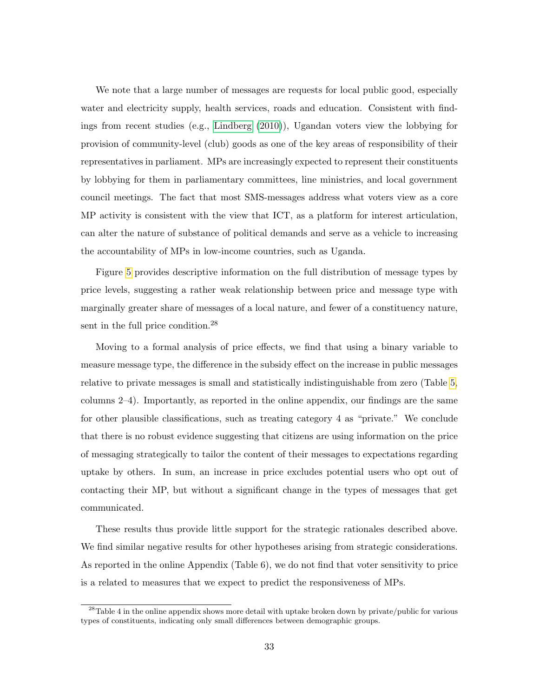We note that a large number of messages are requests for local public good, especially water and electricity supply, health services, roads and education. Consistent with findings from recent studies (e.g., [Lindberg](#page-39-13) [\(2010\)](#page-39-13)), Ugandan voters view the lobbying for provision of community-level (club) goods as one of the key areas of responsibility of their representatives in parliament. MPs are increasingly expected to represent their constituents by lobbying for them in parliamentary committees, line ministries, and local government council meetings. The fact that most SMS-messages address what voters view as a core MP activity is consistent with the view that ICT, as a platform for interest articulation, can alter the nature of substance of political demands and serve as a vehicle to increasing the accountability of MPs in low-income countries, such as Uganda.

Figure [5](#page-33-0) provides descriptive information on the full distribution of message types by price levels, suggesting a rather weak relationship between price and message type with marginally greater share of messages of a local nature, and fewer of a constituency nature, sent in the full price condition.<sup>28</sup>

Moving to a formal analysis of price effects, we find that using a binary variable to measure message type, the difference in the subsidy effect on the increase in public messages relative to private messages is small and statistically indistinguishable from zero (Table [5,](#page-28-0) columns 2–4). Importantly, as reported in the online appendix, our findings are the same for other plausible classifications, such as treating category 4 as "private." We conclude that there is no robust evidence suggesting that citizens are using information on the price of messaging strategically to tailor the content of their messages to expectations regarding uptake by others. In sum, an increase in price excludes potential users who opt out of contacting their MP, but without a significant change in the types of messages that get communicated.

These results thus provide little support for the strategic rationales described above. We find similar negative results for other hypotheses arising from strategic considerations. As reported in the online Appendix (Table 6), we do not find that voter sensitivity to price is a related to measures that we expect to predict the responsiveness of MPs.

<sup>&</sup>lt;sup>28</sup>Table 4 in the online appendix shows more detail with uptake broken down by private/public for various types of constituents, indicating only small differences between demographic groups.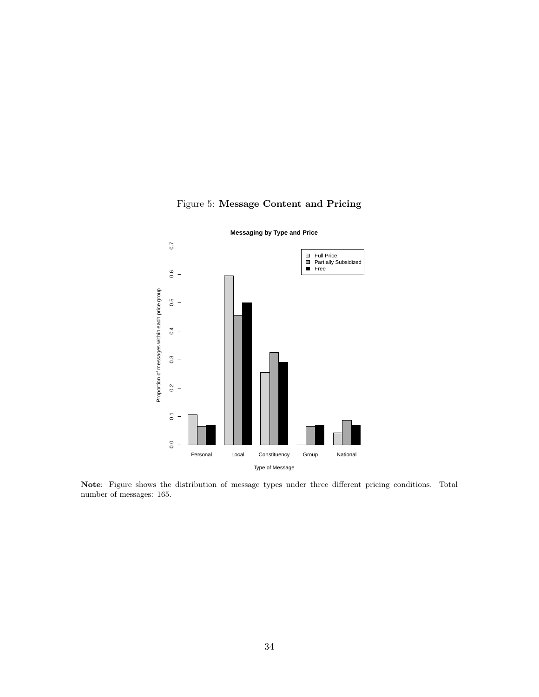<span id="page-33-0"></span>

## Figure 5: Message Content and Pricing

Note: Figure shows the distribution of message types under three different pricing conditions. Total number of messages: 165.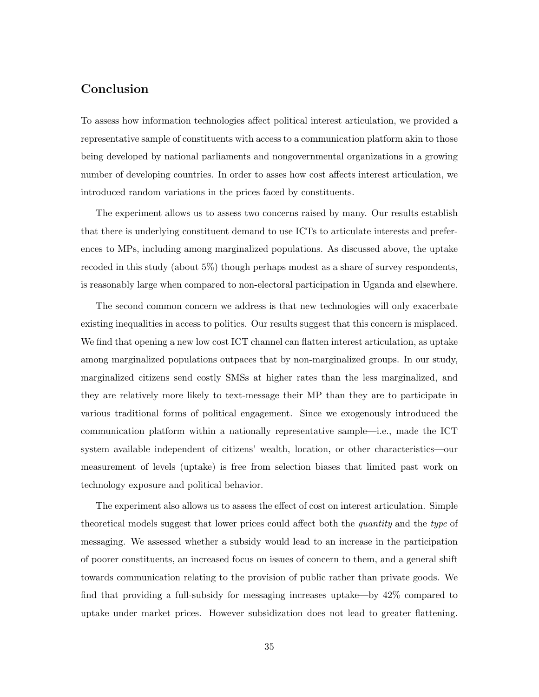## Conclusion

To assess how information technologies affect political interest articulation, we provided a representative sample of constituents with access to a communication platform akin to those being developed by national parliaments and nongovernmental organizations in a growing number of developing countries. In order to asses how cost affects interest articulation, we introduced random variations in the prices faced by constituents.

The experiment allows us to assess two concerns raised by many. Our results establish that there is underlying constituent demand to use ICTs to articulate interests and preferences to MPs, including among marginalized populations. As discussed above, the uptake recoded in this study (about 5%) though perhaps modest as a share of survey respondents, is reasonably large when compared to non-electoral participation in Uganda and elsewhere.

The second common concern we address is that new technologies will only exacerbate existing inequalities in access to politics. Our results suggest that this concern is misplaced. We find that opening a new low cost ICT channel can flatten interest articulation, as uptake among marginalized populations outpaces that by non-marginalized groups. In our study, marginalized citizens send costly SMSs at higher rates than the less marginalized, and they are relatively more likely to text-message their MP than they are to participate in various traditional forms of political engagement. Since we exogenously introduced the communication platform within a nationally representative sample—i.e., made the ICT system available independent of citizens' wealth, location, or other characteristics—our measurement of levels (uptake) is free from selection biases that limited past work on technology exposure and political behavior.

The experiment also allows us to assess the effect of cost on interest articulation. Simple theoretical models suggest that lower prices could affect both the *quantity* and the type of messaging. We assessed whether a subsidy would lead to an increase in the participation of poorer constituents, an increased focus on issues of concern to them, and a general shift towards communication relating to the provision of public rather than private goods. We find that providing a full-subsidy for messaging increases uptake—by 42% compared to uptake under market prices. However subsidization does not lead to greater flattening.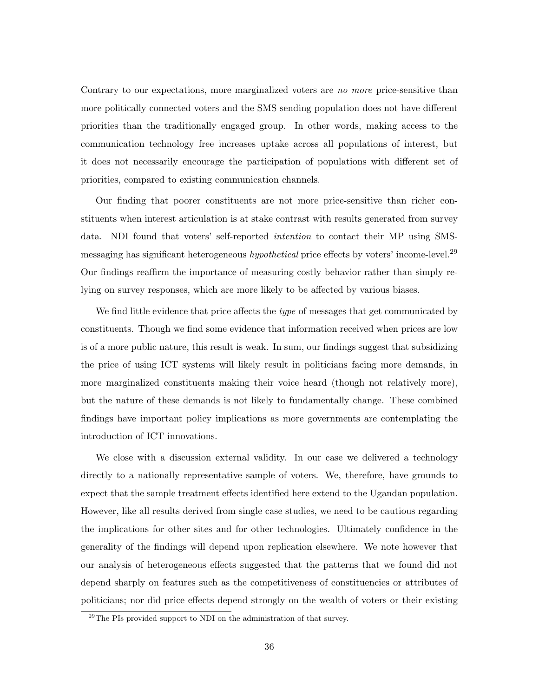Contrary to our expectations, more marginalized voters are no more price-sensitive than more politically connected voters and the SMS sending population does not have different priorities than the traditionally engaged group. In other words, making access to the communication technology free increases uptake across all populations of interest, but it does not necessarily encourage the participation of populations with different set of priorities, compared to existing communication channels.

Our finding that poorer constituents are not more price-sensitive than richer constituents when interest articulation is at stake contrast with results generated from survey data. NDI found that voters' self-reported intention to contact their MP using SMSmessaging has significant heterogeneous *hypothetical* price effects by voters' income-level.<sup>29</sup> Our findings reaffirm the importance of measuring costly behavior rather than simply relying on survey responses, which are more likely to be affected by various biases.

We find little evidence that price affects the *type* of messages that get communicated by constituents. Though we find some evidence that information received when prices are low is of a more public nature, this result is weak. In sum, our findings suggest that subsidizing the price of using ICT systems will likely result in politicians facing more demands, in more marginalized constituents making their voice heard (though not relatively more), but the nature of these demands is not likely to fundamentally change. These combined findings have important policy implications as more governments are contemplating the introduction of ICT innovations.

We close with a discussion external validity. In our case we delivered a technology directly to a nationally representative sample of voters. We, therefore, have grounds to expect that the sample treatment effects identified here extend to the Ugandan population. However, like all results derived from single case studies, we need to be cautious regarding the implications for other sites and for other technologies. Ultimately confidence in the generality of the findings will depend upon replication elsewhere. We note however that our analysis of heterogeneous effects suggested that the patterns that we found did not depend sharply on features such as the competitiveness of constituencies or attributes of politicians; nor did price effects depend strongly on the wealth of voters or their existing

 $29$ The PIs provided support to NDI on the administration of that survey.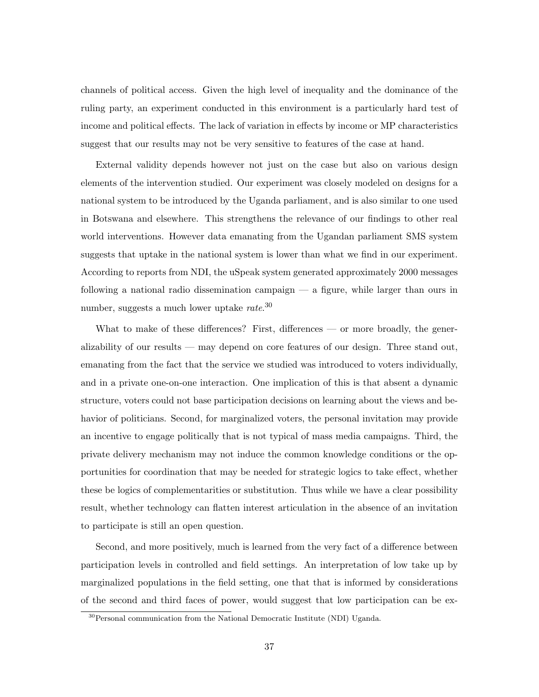channels of political access. Given the high level of inequality and the dominance of the ruling party, an experiment conducted in this environment is a particularly hard test of income and political effects. The lack of variation in effects by income or MP characteristics suggest that our results may not be very sensitive to features of the case at hand.

External validity depends however not just on the case but also on various design elements of the intervention studied. Our experiment was closely modeled on designs for a national system to be introduced by the Uganda parliament, and is also similar to one used in Botswana and elsewhere. This strengthens the relevance of our findings to other real world interventions. However data emanating from the Ugandan parliament SMS system suggests that uptake in the national system is lower than what we find in our experiment. According to reports from NDI, the uSpeak system generated approximately 2000 messages following a national radio dissemination campaign — a figure, while larger than ours in number, suggests a much lower uptake  $rate^{30}$ 

What to make of these differences? First, differences — or more broadly, the generalizability of our results — may depend on core features of our design. Three stand out, emanating from the fact that the service we studied was introduced to voters individually, and in a private one-on-one interaction. One implication of this is that absent a dynamic structure, voters could not base participation decisions on learning about the views and behavior of politicians. Second, for marginalized voters, the personal invitation may provide an incentive to engage politically that is not typical of mass media campaigns. Third, the private delivery mechanism may not induce the common knowledge conditions or the opportunities for coordination that may be needed for strategic logics to take effect, whether these be logics of complementarities or substitution. Thus while we have a clear possibility result, whether technology can flatten interest articulation in the absence of an invitation to participate is still an open question.

Second, and more positively, much is learned from the very fact of a difference between participation levels in controlled and field settings. An interpretation of low take up by marginalized populations in the field setting, one that that is informed by considerations of the second and third faces of power, would suggest that low participation can be ex-

<sup>30</sup>Personal communication from the National Democratic Institute (NDI) Uganda.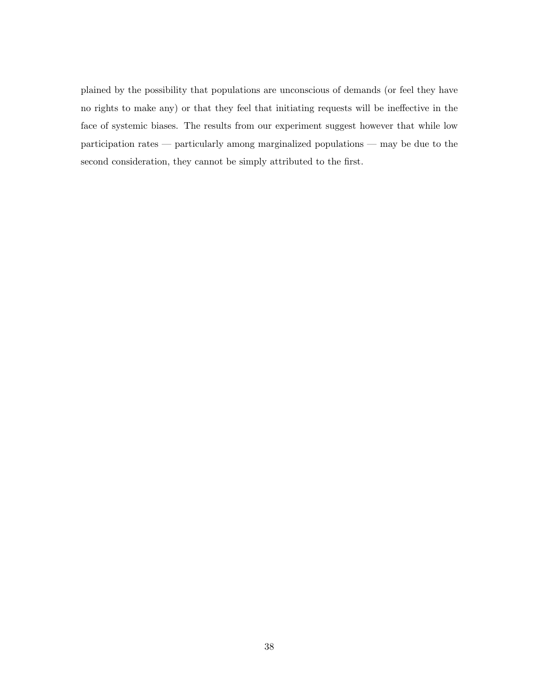plained by the possibility that populations are unconscious of demands (or feel they have no rights to make any) or that they feel that initiating requests will be ineffective in the face of systemic biases. The results from our experiment suggest however that while low participation rates — particularly among marginalized populations — may be due to the second consideration, they cannot be simply attributed to the first.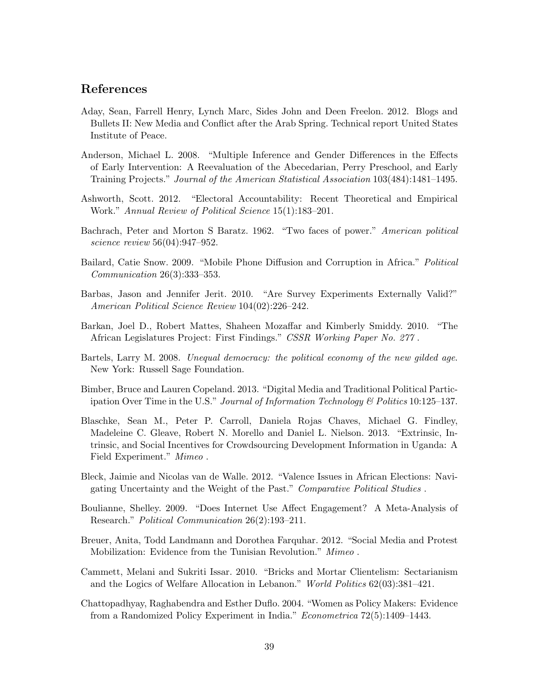## References

- <span id="page-38-1"></span>Aday, Sean, Farrell Henry, Lynch Marc, Sides John and Deen Freelon. 2012. Blogs and Bullets II: New Media and Conflict after the Arab Spring. Technical report United States Institute of Peace.
- <span id="page-38-12"></span>Anderson, Michael L. 2008. "Multiple Inference and Gender Differences in the Effects of Early Intervention: A Reevaluation of the Abecedarian, Perry Preschool, and Early Training Projects." Journal of the American Statistical Association 103(484):1481–1495.
- <span id="page-38-6"></span>Ashworth, Scott. 2012. "Electoral Accountability: Recent Theoretical and Empirical Work." Annual Review of Political Science 15(1):183–201.
- <span id="page-38-9"></span>Bachrach, Peter and Morton S Baratz. 1962. "Two faces of power." American political science review 56(04):947–952.
- <span id="page-38-2"></span>Bailard, Catie Snow. 2009. "Mobile Phone Diffusion and Corruption in Africa." Political Communication 26(3):333–353.
- <span id="page-38-11"></span>Barbas, Jason and Jennifer Jerit. 2010. "Are Survey Experiments Externally Valid?" American Political Science Review 104(02):226–242.
- <span id="page-38-8"></span>Barkan, Joel D., Robert Mattes, Shaheen Mozaffar and Kimberly Smiddy. 2010. "The African Legislatures Project: First Findings." CSSR Working Paper No. 277 .
- <span id="page-38-7"></span>Bartels, Larry M. 2008. Unequal democracy: the political economy of the new gilded age. New York: Russell Sage Foundation.
- <span id="page-38-4"></span>Bimber, Bruce and Lauren Copeland. 2013. "Digital Media and Traditional Political Participation Over Time in the U.S." Journal of Information Technology & Politics 10:125–137.
- <span id="page-38-13"></span>Blaschke, Sean M., Peter P. Carroll, Daniela Rojas Chaves, Michael G. Findley, Madeleine C. Gleave, Robert N. Morello and Daniel L. Nielson. 2013. "Extrinsic, Intrinsic, and Social Incentives for Crowdsourcing Development Information in Uganda: A Field Experiment." Mimeo .
- <span id="page-38-5"></span>Bleck, Jaimie and Nicolas van de Walle. 2012. "Valence Issues in African Elections: Navigating Uncertainty and the Weight of the Past." Comparative Political Studies .
- <span id="page-38-0"></span>Boulianne, Shelley. 2009. "Does Internet Use Affect Engagement? A Meta-Analysis of Research." Political Communication 26(2):193–211.
- <span id="page-38-3"></span>Breuer, Anita, Todd Landmann and Dorothea Farquhar. 2012. "Social Media and Protest Mobilization: Evidence from the Tunisian Revolution." Mimeo .
- <span id="page-38-14"></span>Cammett, Melani and Sukriti Issar. 2010. "Bricks and Mortar Clientelism: Sectarianism and the Logics of Welfare Allocation in Lebanon." World Politics 62(03):381–421.
- <span id="page-38-10"></span>Chattopadhyay, Raghabendra and Esther Duflo. 2004. "Women as Policy Makers: Evidence from a Randomized Policy Experiment in India." Econometrica 72(5):1409–1443.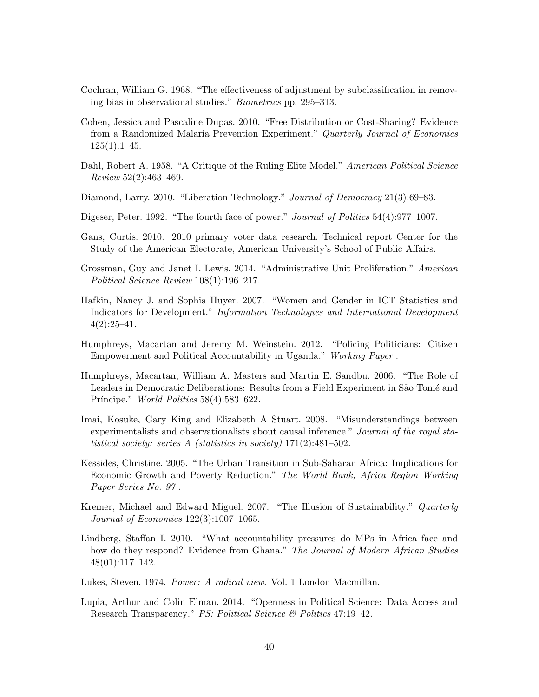- <span id="page-39-14"></span>Cochran, William G. 1968. "The effectiveness of adjustment by subclassification in removing bias in observational studies." Biometrics pp. 295–313.
- <span id="page-39-11"></span>Cohen, Jessica and Pascaline Dupas. 2010. "Free Distribution or Cost-Sharing? Evidence from a Randomized Malaria Prevention Experiment." Quarterly Journal of Economics  $125(1):1-45.$
- <span id="page-39-2"></span>Dahl, Robert A. 1958. "A Critique of the Ruling Elite Model." American Political Science Review 52(2):463–469.
- <span id="page-39-1"></span>Diamond, Larry. 2010. "Liberation Technology." Journal of Democracy 21(3):69–83.
- <span id="page-39-4"></span>Digeser, Peter. 1992. "The fourth face of power." Journal of Politics 54(4):977–1007.
- <span id="page-39-9"></span>Gans, Curtis. 2010. 2010 primary voter data research. Technical report Center for the Study of the American Electorate, American University's School of Public Affairs.
- <span id="page-39-7"></span>Grossman, Guy and Janet I. Lewis. 2014. "Administrative Unit Proliferation." American Political Science Review 108(1):196–217.
- <span id="page-39-5"></span>Hafkin, Nancy J. and Sophia Huyer. 2007. "Women and Gender in ICT Statistics and Indicators for Development." Information Technologies and International Development  $4(2):25-41.$
- <span id="page-39-8"></span>Humphreys, Macartan and Jeremy M. Weinstein. 2012. "Policing Politicians: Citizen Empowerment and Political Accountability in Uganda." Working Paper .
- <span id="page-39-10"></span>Humphreys, Macartan, William A. Masters and Martin E. Sandbu. 2006. "The Role of Leaders in Democratic Deliberations: Results from a Field Experiment in São Tomé and Príncipe." *World Politics* 58(4):583–622.
- <span id="page-39-15"></span>Imai, Kosuke, Gary King and Elizabeth A Stuart. 2008. "Misunderstandings between experimentalists and observationalists about causal inference." Journal of the royal statistical society: series A (statistics in society) 171(2):481–502.
- <span id="page-39-6"></span>Kessides, Christine. 2005. "The Urban Transition in Sub-Saharan Africa: Implications for Economic Growth and Poverty Reduction." The World Bank, Africa Region Working Paper Series No. 97 .
- <span id="page-39-12"></span>Kremer, Michael and Edward Miguel. 2007. "The Illusion of Sustainability." *Quarterly* Journal of Economics 122(3):1007–1065.
- <span id="page-39-13"></span>Lindberg, Staffan I. 2010. "What accountability pressures do MPs in Africa face and how do they respond? Evidence from Ghana." The Journal of Modern African Studies 48(01):117–142.
- <span id="page-39-3"></span>Lukes, Steven. 1974. Power: A radical view. Vol. 1 London Macmillan.
- <span id="page-39-0"></span>Lupia, Arthur and Colin Elman. 2014. "Openness in Political Science: Data Access and Research Transparency." PS: Political Science & Politics 47:19-42.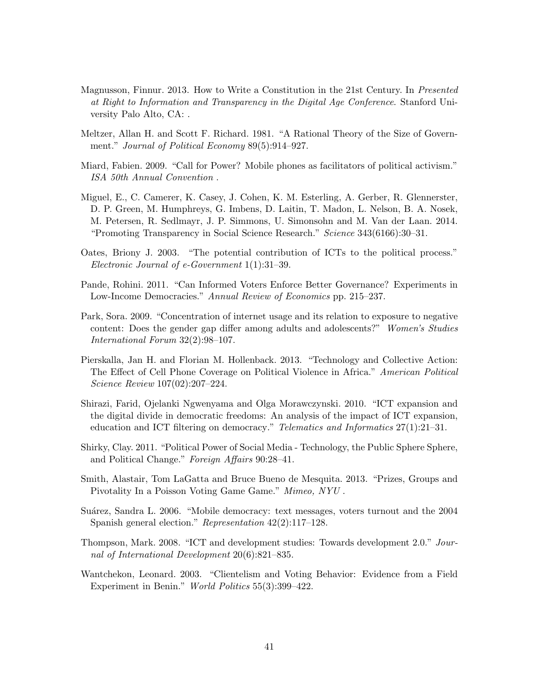- <span id="page-40-12"></span>Magnusson, Finnur. 2013. How to Write a Constitution in the 21st Century. In Presented at Right to Information and Transparency in the Digital Age Conference. Stanford University Palo Alto, CA: .
- <span id="page-40-11"></span>Meltzer, Allan H. and Scott F. Richard. 1981. "A Rational Theory of the Size of Government." Journal of Political Economy 89(5):914–927.
- <span id="page-40-5"></span>Miard, Fabien. 2009. "Call for Power? Mobile phones as facilitators of political activism." ISA 50th Annual Convention .
- <span id="page-40-0"></span>Miguel, E., C. Camerer, K. Casey, J. Cohen, K. M. Esterling, A. Gerber, R. Glennerster, D. P. Green, M. Humphreys, G. Imbens, D. Laitin, T. Madon, L. Nelson, B. A. Nosek, M. Petersen, R. Sedlmayr, J. P. Simmons, U. Simonsohn and M. Van der Laan. 2014. "Promoting Transparency in Social Science Research." Science 343(6166):30–31.
- <span id="page-40-3"></span>Oates, Briony J. 2003. "The potential contribution of ICTs to the political process." Electronic Journal of e-Government 1(1):31–39.
- <span id="page-40-8"></span>Pande, Rohini. 2011. "Can Informed Voters Enforce Better Governance? Experiments in Low-Income Democracies." Annual Review of Economics pp. 215–237.
- <span id="page-40-10"></span>Park, Sora. 2009. "Concentration of internet usage and its relation to exposure to negative content: Does the gender gap differ among adults and adolescents?" Women's Studies International Forum 32(2):98–107.
- <span id="page-40-1"></span>Pierskalla, Jan H. and Florian M. Hollenback. 2013. "Technology and Collective Action: The Effect of Cell Phone Coverage on Political Violence in Africa." American Political Science Review 107(02):207–224.
- <span id="page-40-2"></span>Shirazi, Farid, Ojelanki Ngwenyama and Olga Morawczynski. 2010. "ICT expansion and the digital divide in democratic freedoms: An analysis of the impact of ICT expansion, education and ICT filtering on democracy." Telematics and Informatics 27(1):21–31.
- <span id="page-40-6"></span>Shirky, Clay. 2011. "Political Power of Social Media - Technology, the Public Sphere Sphere, and Political Change." Foreign Affairs 90:28–41.
- <span id="page-40-13"></span>Smith, Alastair, Tom LaGatta and Bruce Bueno de Mesquita. 2013. "Prizes, Groups and Pivotality In a Poisson Voting Game Game." Mimeo, NYU .
- <span id="page-40-4"></span>Suárez, Sandra L. 2006. "Mobile democracy: text messages, voters turnout and the 2004 Spanish general election." Representation 42(2):117–128.
- <span id="page-40-9"></span>Thompson, Mark. 2008. "ICT and development studies: Towards development 2.0." Journal of International Development 20(6):821–835.
- <span id="page-40-7"></span>Wantchekon, Leonard. 2003. "Clientelism and Voting Behavior: Evidence from a Field Experiment in Benin." World Politics 55(3):399–422.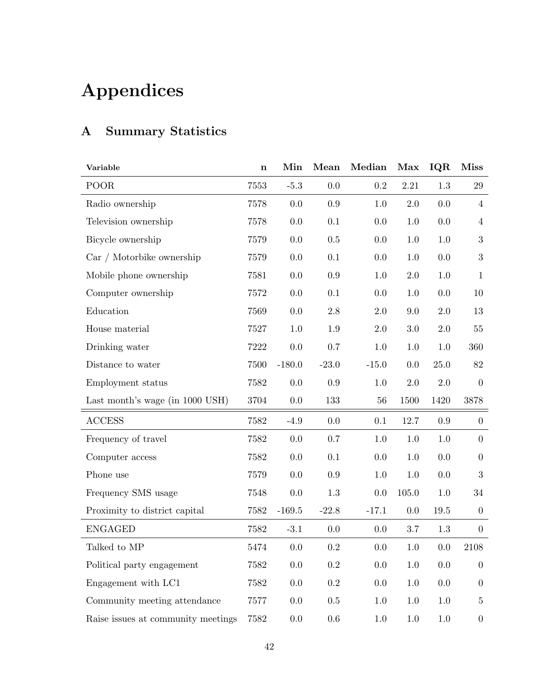# Appendices

## A Summary Statistics

<span id="page-41-0"></span>

| Variable                           | $\mathbf n$ | Min      | Mean      | Median  | Max     | IQR     | Miss             |
|------------------------------------|-------------|----------|-----------|---------|---------|---------|------------------|
| <b>POOR</b>                        | 7553        | $-5.3$   | 0.0       | 0.2     | 2.21    | $1.3\,$ | 29               |
| Radio ownership                    | 7578        | 0.0      | 0.9       | 1.0     | $2.0\,$ | $0.0\,$ | $\overline{4}$   |
| Television ownership               | 7578        | 0.0      | 0.1       | 0.0     | 1.0     | 0.0     | $\overline{4}$   |
| Bicycle ownership                  | 7579        | 0.0      | 0.5       | 0.0     | 1.0     | 1.0     | 3                |
| Car / Motorbike ownership          | 7579        | $0.0\,$  | $0.1\,$   | 0.0     | 1.0     | $0.0\,$ | $\sqrt{3}$       |
| Mobile phone ownership             | 7581        | 0.0      | 0.9       | 1.0     | $2.0\,$ | 1.0     | $\mathbf{1}$     |
| Computer ownership                 | 7572        | 0.0      | 0.1       | 0.0     | 1.0     | 0.0     | 10               |
| Education                          | 7569        | 0.0      | $2.8\,$   | $2.0\,$ | 9.0     | $2.0\,$ | 13               |
| House material                     | 7527        | 1.0      | 1.9       | $2.0\,$ | $3.0\,$ | $2.0\,$ | 55               |
| Drinking water                     | 7222        | 0.0      | 0.7       | 1.0     | 1.0     | 1.0     | 360              |
| Distance to water                  | 7500        | $-180.0$ | $-23.0$   | $-15.0$ | 0.0     | 25.0    | 82               |
| Employment status                  | 7582        | $0.0\,$  | 0.9       | 1.0     | $2.0\,$ | $2.0\,$ | $\theta$         |
| Last month's wage (in 1000 USH)    | 3704        | 0.0      | 133       | $56\,$  | 1500    | 1420    | 3878             |
| <b>ACCESS</b>                      | 7582        | $-4.9$   | 0.0       | 0.1     | 12.7    | 0.9     | $\boldsymbol{0}$ |
| Frequency of travel                | 7582        | 0.0      | 0.7       | 1.0     | 1.0     | 1.0     | $\overline{0}$   |
| Computer access                    | 7582        | 0.0      | 0.1       | 0.0     | 1.0     | $0.0\,$ | $\boldsymbol{0}$ |
| Phone use                          | 7579        | $0.0\,$  | $0.9\,$   | $1.0\,$ | 1.0     | $0.0\,$ | 3                |
| Frequency SMS usage                | 7548        | 0.0      | 1.3       | 0.0     | 105.0   | 1.0     | 34               |
| Proximity to district capital      | 7582        | $-169.5$ | $-22.8$   | $-17.1$ | 0.0     | 19.5    | $\overline{0}$   |
| <b>ENGAGED</b>                     | 7582        | $-3.1$   | 0.0       | 0.0     | 3.7     | 1.3     | $\boldsymbol{0}$ |
| Talked to MP                       | 5474        | 0.0      | $\rm 0.2$ | 0.0     | 1.0     | 0.0     | 2108             |
| Political party engagement         | 7582        | $0.0\,$  | $\rm 0.2$ | $0.0\,$ | $1.0\,$ | $0.0\,$ | $\boldsymbol{0}$ |
| Engagement with LC1                | 7582        | $0.0\,$  | $\rm 0.2$ | $0.0\,$ | $1.0\,$ | $0.0\,$ | $\theta$         |
| Community meeting attendance       | 7577        | $0.0\,$  | $0.5\,$   | 1.0     | $1.0\,$ | $1.0\,$ | $\overline{5}$   |
| Raise issues at community meetings | 7582        | $0.0\,$  | $0.6\,$   | $1.0\,$ | 1.0     | $1.0\,$ | $\boldsymbol{0}$ |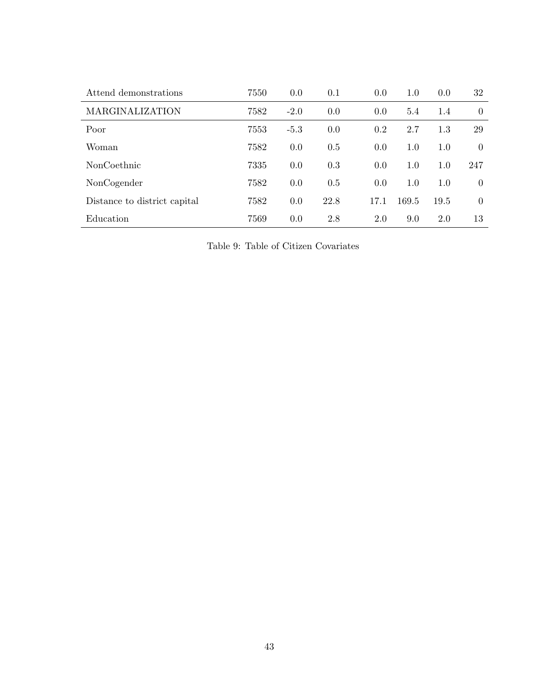| Attend demonstrations        | 7550 | 0.0    | 0.1  | 0.0  | 1.0     | 0.0     | 32       |
|------------------------------|------|--------|------|------|---------|---------|----------|
| MARGINALIZATION              | 7582 | $-2.0$ | 0.0  | 0.0  | 5.4     | 1.4     | $\Omega$ |
| Poor                         | 7553 | $-5.3$ | 0.0  | 0.2  | 2.7     | $1.3\,$ | 29       |
| Woman                        | 7582 | 0.0    | 0.5  | 0.0  | $1.0\,$ | 1.0     | $\Omega$ |
| NonCoethnic                  | 7335 | 0.0    | 0.3  | 0.0  | $1.0\,$ | 1.0     | 247      |
| NonCogender                  | 7582 | 0.0    | 0.5  | 0.0  | $1.0\,$ | 1.0     | $\Omega$ |
| Distance to district capital | 7582 | 0.0    | 22.8 | 17.1 | 169.5   | 19.5    | $\Omega$ |
| Education                    | 7569 | 0.0    | 2.8  | 2.0  | 9.0     | 2.0     | 13       |

Table 9: Table of Citizen Covariates